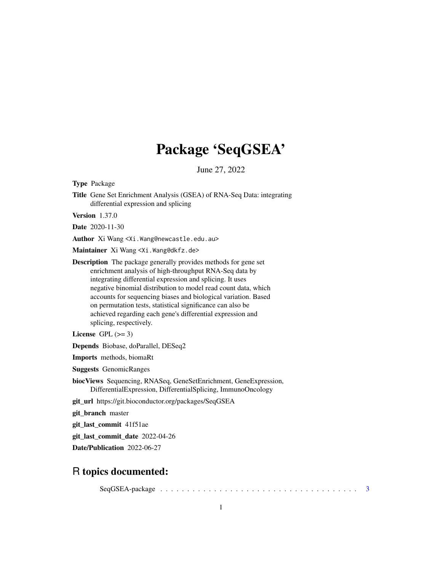# Package 'SeqGSEA'

June 27, 2022

<span id="page-0-0"></span>Type Package

Title Gene Set Enrichment Analysis (GSEA) of RNA-Seq Data: integrating differential expression and splicing

Version 1.37.0

Date 2020-11-30

Author Xi Wang <Xi.Wang@newcastle.edu.au>

Maintainer Xi Wang <Xi. Wang@dkfz.de>

Description The package generally provides methods for gene set enrichment analysis of high-throughput RNA-Seq data by integrating differential expression and splicing. It uses negative binomial distribution to model read count data, which accounts for sequencing biases and biological variation. Based on permutation tests, statistical significance can also be achieved regarding each gene's differential expression and splicing, respectively.

License GPL  $(>= 3)$ 

Depends Biobase, doParallel, DESeq2

Imports methods, biomaRt

Suggests GenomicRanges

biocViews Sequencing, RNASeq, GeneSetEnrichment, GeneExpression, DifferentialExpression, DifferentialSplicing, ImmunoOncology

git\_url https://git.bioconductor.org/packages/SeqGSEA

git\_branch master

git\_last\_commit 41f51ae

git\_last\_commit\_date 2022-04-26

Date/Publication 2022-06-27

## R topics documented:

SeqGSEA-package . . . . . . . . . . . . . . . . . . . . . . . . . . . . . . . . . . . . . [3](#page-2-0)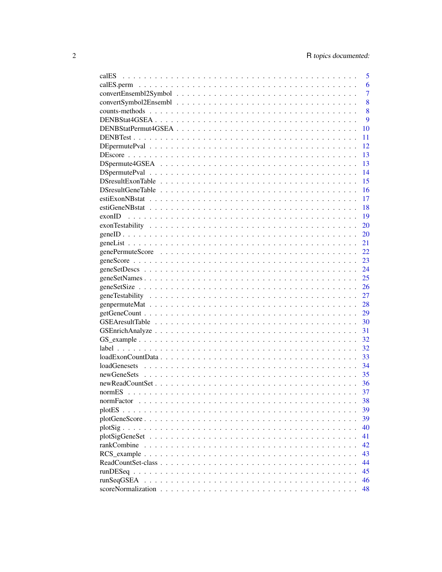| calES      | 5              |
|------------|----------------|
|            | 6              |
|            | $\overline{7}$ |
|            | 8              |
|            | 8              |
|            | 9              |
|            | 10             |
|            | 11             |
|            | 12             |
|            | 13             |
|            | 13             |
|            | 14             |
|            | 15             |
|            | 16             |
|            | 17             |
|            | 18             |
|            | 19             |
|            | 20             |
|            | 20             |
|            | 21             |
|            | 22             |
|            | 23             |
|            | 24             |
|            | 25             |
|            | 26             |
|            | 27             |
|            | 28             |
|            | 29             |
|            | 30             |
|            | 31             |
|            | 32             |
|            | 32             |
|            | 33             |
|            | 34             |
|            | 35             |
|            | 36             |
|            | 37             |
| normFactor | 38             |
|            | 39             |
|            | 39             |
|            | 40             |
|            | 41             |
|            | 42             |
|            | 43             |
|            | 44             |
|            | 45             |
| runSeqGSEA | 46             |
|            | 48             |
|            |                |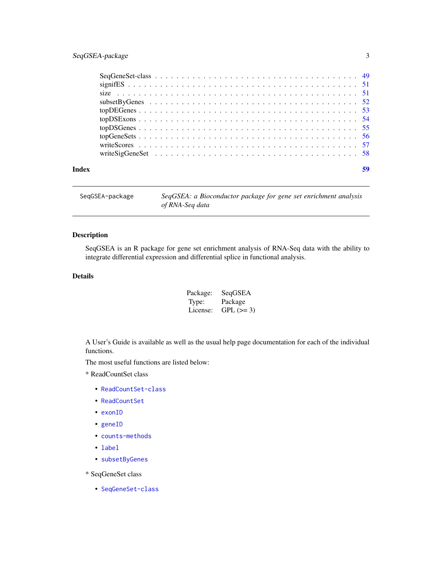### <span id="page-2-0"></span>SeqGSEA-package 3

| Index |  |  |  |  |  |  |  |  |  |  |  |  |  |  |  |  |  |
|-------|--|--|--|--|--|--|--|--|--|--|--|--|--|--|--|--|--|

SeqGSEA-package *SeqGSEA: a Bioconductor package for gene set enrichment analysis of RNA-Seq data*

### Description

SeqGSEA is an R package for gene set enrichment analysis of RNA-Seq data with the ability to integrate differential expression and differential splice in functional analysis.

### Details

| Package: | SeqGSEA    |
|----------|------------|
| Type:    | Package    |
| License: | $GPL (=3)$ |

A User's Guide is available as well as the usual help page documentation for each of the individual functions.

The most useful functions are listed below:

\* ReadCountSet class

- [ReadCountSet-class](#page-43-1)
- [ReadCountSet](#page-43-2)
- [exonID](#page-18-1)
- [geneID](#page-19-1)
- [counts-methods](#page-7-1)
- [label](#page-31-1)
- [subsetByGenes](#page-51-1)

\* SeqGeneSet class

• [SeqGeneSet-class](#page-48-1)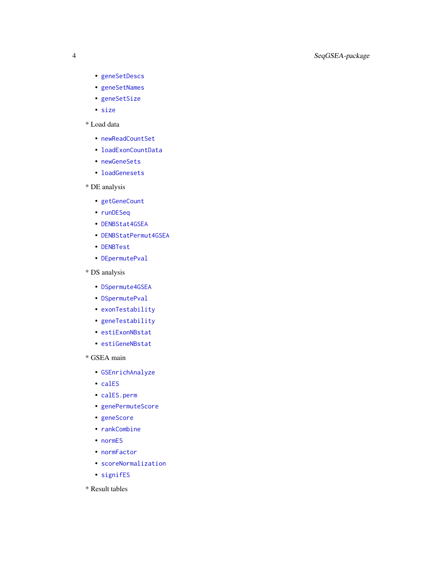- <span id="page-3-0"></span>• [geneSetDescs](#page-23-1)
- [geneSetNames](#page-24-1)
- [geneSetSize](#page-25-1)
- [size](#page-50-1)

### \* Load data

- [newReadCountSet](#page-35-1)
- [loadExonCountData](#page-32-1)
- [newGeneSets](#page-34-1)
- [loadGenesets](#page-33-1)
- \* DE analysis
	- [getGeneCount](#page-28-1)
	- [runDESeq](#page-44-1)
	- [DENBStat4GSEA](#page-8-1)
	- [DENBStatPermut4GSEA](#page-9-1)
	- [DENBTest](#page-10-1)
	- [DEpermutePval](#page-11-1)
- \* DS analysis
	- [DSpermute4GSEA](#page-12-1)
	- [DSpermutePval](#page-13-1)
	- [exonTestability](#page-19-2)
	- [geneTestability](#page-26-1)
	- [estiExonNBstat](#page-16-1)
	- [estiGeneNBstat](#page-17-1)
- \* GSEA main
	- [GSEnrichAnalyze](#page-30-1)
	- [calES](#page-4-1)
	- [calES.perm](#page-5-1)
	- [genePermuteScore](#page-21-1)
	- [geneScore](#page-22-1)
	- [rankCombine](#page-41-1)
	- [normES](#page-36-1)
	- [normFactor](#page-37-1)
	- [scoreNormalization](#page-47-1)
	- [signifES](#page-50-2)
- \* Result tables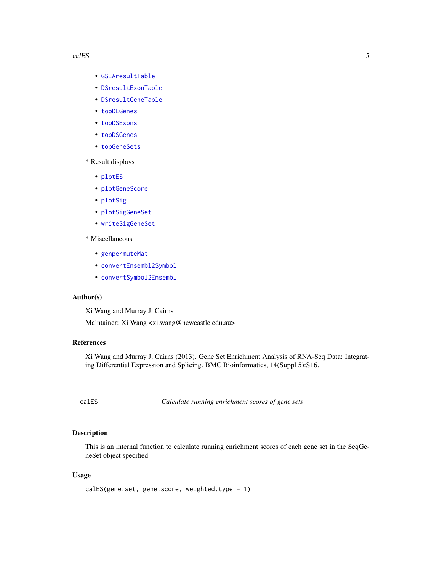#### <span id="page-4-0"></span>calES 5

- [GSEAresultTable](#page-29-1)
- [DSresultExonTable](#page-14-1)
- [DSresultGeneTable](#page-15-1)
- [topDEGenes](#page-52-1)
- [topDSExons](#page-53-1)
- [topDSGenes](#page-54-1)
- [topGeneSets](#page-55-1)
- \* Result displays
	- [plotES](#page-38-1)
	- [plotGeneScore](#page-38-2)
	- [plotSig](#page-39-1)
	- [plotSigGeneSet](#page-40-1)
	- [writeSigGeneSet](#page-57-1)

### \* Miscellaneous

- [genpermuteMat](#page-27-1)
- [convertEnsembl2Symbol](#page-6-1)
- [convertSymbol2Ensembl](#page-7-2)

### Author(s)

Xi Wang and Murray J. Cairns

Maintainer: Xi Wang <xi.wang@newcastle.edu.au>

### References

Xi Wang and Murray J. Cairns (2013). Gene Set Enrichment Analysis of RNA-Seq Data: Integrating Differential Expression and Splicing. BMC Bioinformatics, 14(Suppl 5):S16.

<span id="page-4-1"></span>calES *Calculate running enrichment scores of gene sets*

### Description

This is an internal function to calculate running enrichment scores of each gene set in the SeqGeneSet object specified

#### Usage

```
calES(gene.set, gene.score, weighted.type = 1)
```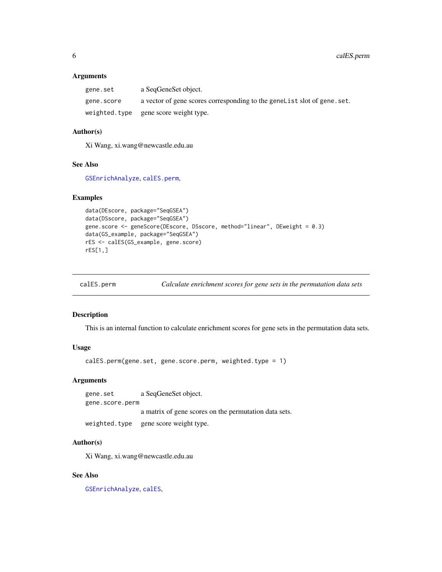<span id="page-5-0"></span>

| gene.set   | a SegGeneSet object.                                                     |
|------------|--------------------------------------------------------------------------|
| gene.score | a vector of gene scores corresponding to the genelist slot of gene. set. |
|            | weighted.type gene score weight type.                                    |

### Author(s)

Xi Wang, xi.wang@newcastle.edu.au

### See Also

[GSEnrichAnalyze](#page-30-1), [calES.perm](#page-5-1),

#### Examples

```
data(DEscore, package="SeqGSEA")
data(DSscore, package="SeqGSEA")
gene.score <- geneScore(DEscore, DSscore, method="linear", DEweight = 0.3)
data(GS_example, package="SeqGSEA")
rES <- calES(GS_example, gene.score)
rES[1,]
```
<span id="page-5-1"></span>

| calES.perm | Calculate enrichment scores for gene sets in the permutation data sets |  |  |  |
|------------|------------------------------------------------------------------------|--|--|--|
|------------|------------------------------------------------------------------------|--|--|--|

### Description

This is an internal function to calculate enrichment scores for gene sets in the permutation data sets.

#### Usage

```
calES.perm(gene.set, gene.score.perm, weighted.type = 1)
```
### Arguments

gene.set a SeqGeneSet object. gene.score.perm a matrix of gene scores on the permutation data sets.

```
weighted.type gene score weight type.
```
### Author(s)

Xi Wang, xi.wang@newcastle.edu.au

### See Also

[GSEnrichAnalyze](#page-30-1), [calES](#page-4-1),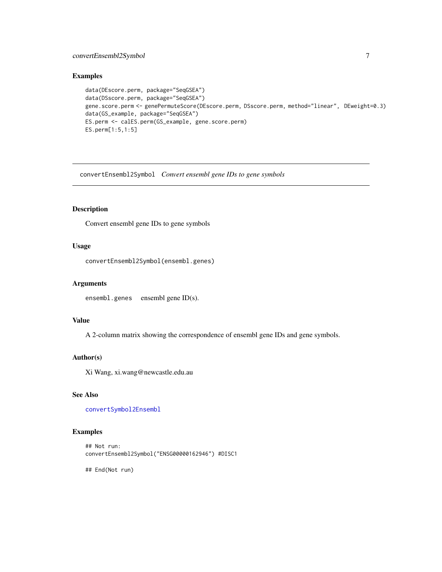### <span id="page-6-0"></span>convertEnsembl2Symbol 7

### Examples

```
data(DEscore.perm, package="SeqGSEA")
data(DSscore.perm, package="SeqGSEA")
gene.score.perm <- genePermuteScore(DEscore.perm, DSscore.perm, method="linear", DEweight=0.3)
data(GS_example, package="SeqGSEA")
ES.perm <- calES.perm(GS_example, gene.score.perm)
ES.perm[1:5,1:5]
```
<span id="page-6-1"></span>convertEnsembl2Symbol *Convert ensembl gene IDs to gene symbols*

### Description

Convert ensembl gene IDs to gene symbols

### Usage

convertEnsembl2Symbol(ensembl.genes)

#### Arguments

ensembl.genes ensembl gene ID(s).

#### Value

A 2-column matrix showing the correspondence of ensembl gene IDs and gene symbols.

### Author(s)

Xi Wang, xi.wang@newcastle.edu.au

### See Also

[convertSymbol2Ensembl](#page-7-2)

### Examples

```
## Not run:
convertEnsembl2Symbol("ENSG00000162946") #DISC1
```
## End(Not run)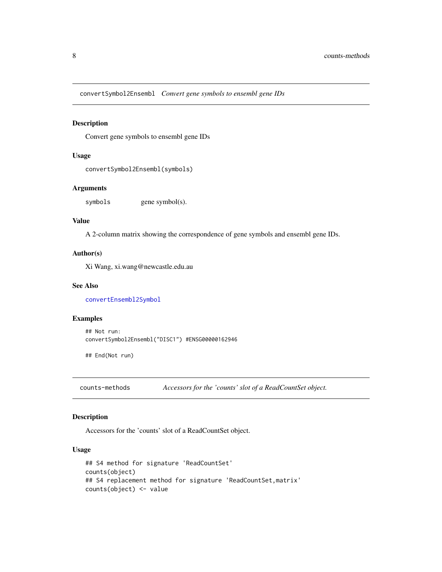<span id="page-7-2"></span><span id="page-7-0"></span>convertSymbol2Ensembl *Convert gene symbols to ensembl gene IDs*

### Description

Convert gene symbols to ensembl gene IDs

#### Usage

```
convertSymbol2Ensembl(symbols)
```
### Arguments

symbols gene symbol(s).

### Value

A 2-column matrix showing the correspondence of gene symbols and ensembl gene IDs.

#### Author(s)

Xi Wang, xi.wang@newcastle.edu.au

#### See Also

[convertEnsembl2Symbol](#page-6-1)

### Examples

```
## Not run:
convertSymbol2Ensembl("DISC1") #ENSG00000162946
```
## End(Not run)

<span id="page-7-1"></span>counts-methods *Accessors for the 'counts' slot of a ReadCountSet object.*

### <span id="page-7-3"></span>Description

Accessors for the 'counts' slot of a ReadCountSet object.

### Usage

```
## S4 method for signature 'ReadCountSet'
counts(object)
## S4 replacement method for signature 'ReadCountSet,matrix'
counts(object) <- value
```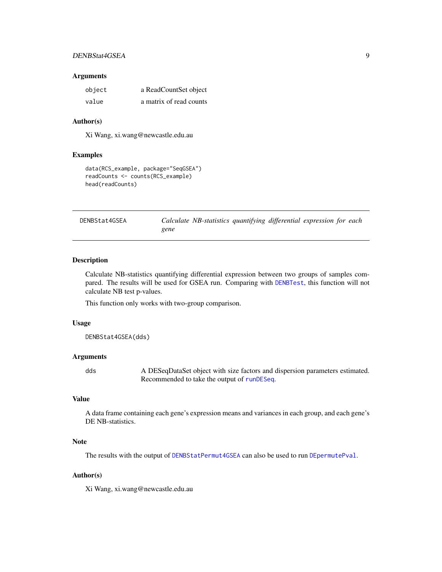### <span id="page-8-0"></span>DENBStat4GSEA 9

#### Arguments

| object | a ReadCountSet object   |
|--------|-------------------------|
| value  | a matrix of read counts |

#### Author(s)

Xi Wang, xi.wang@newcastle.edu.au

### Examples

```
data(RCS_example, package="SeqGSEA")
readCounts <- counts(RCS_example)
head(readCounts)
```
<span id="page-8-1"></span>

| DENBStat4GSEA |      | Calculate NB-statistics quantifying differential expression for each |  |  |  |
|---------------|------|----------------------------------------------------------------------|--|--|--|
|               | gene |                                                                      |  |  |  |

#### Description

Calculate NB-statistics quantifying differential expression between two groups of samples compared. The results will be used for GSEA run. Comparing with [DENBTest](#page-10-1), this function will not calculate NB test p-values.

This function only works with two-group comparison.

#### Usage

DENBStat4GSEA(dds)

### Arguments

dds A DESeqDataSet object with size factors and dispersion parameters estimated. Recommended to take the output of [runDESeq](#page-44-1).

### Value

A data frame containing each gene's expression means and variances in each group, and each gene's DE NB-statistics.

### Note

The results with the output of [DENBStatPermut4GSEA](#page-9-1) can also be used to run [DEpermutePval](#page-11-1).

#### Author(s)

Xi Wang, xi.wang@newcastle.edu.au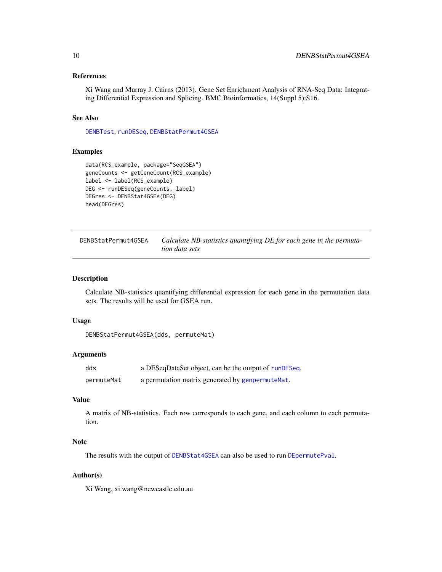#### <span id="page-9-0"></span>References

Xi Wang and Murray J. Cairns (2013). Gene Set Enrichment Analysis of RNA-Seq Data: Integrating Differential Expression and Splicing. BMC Bioinformatics, 14(Suppl 5):S16.

#### See Also

[DENBTest](#page-10-1), [runDESeq](#page-44-1), [DENBStatPermut4GSEA](#page-9-1)

### Examples

```
data(RCS_example, package="SeqGSEA")
geneCounts <- getGeneCount(RCS_example)
label <- label(RCS_example)
DEG <- runDESeq(geneCounts, label)
DEGres <- DENBStat4GSEA(DEG)
head(DEGres)
```
<span id="page-9-1"></span>DENBStatPermut4GSEA *Calculate NB-statistics quantifying DE for each gene in the permutation data sets*

### Description

Calculate NB-statistics quantifying differential expression for each gene in the permutation data sets. The results will be used for GSEA run.

### Usage

DENBStatPermut4GSEA(dds, permuteMat)

### Arguments

| dds        | a DESeqDataSet object, can be the output of runDESeq. |
|------------|-------------------------------------------------------|
| permuteMat | a permutation matrix generated by genpermute Mat.     |

### Value

A matrix of NB-statistics. Each row corresponds to each gene, and each column to each permutation.

### Note

The results with the output of [DENBStat4GSEA](#page-8-1) can also be used to run [DEpermutePval](#page-11-1).

#### Author(s)

Xi Wang, xi.wang@newcastle.edu.au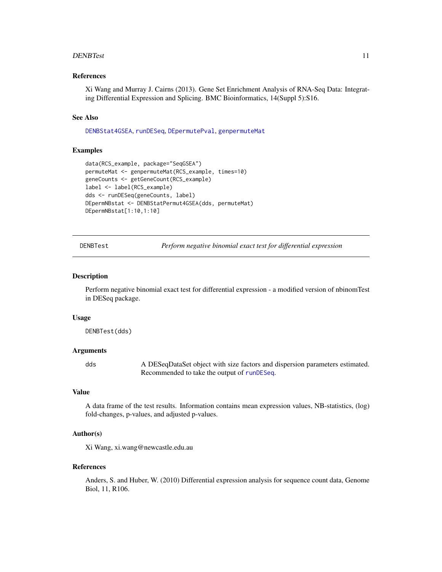#### <span id="page-10-0"></span>DENBTest 11

#### References

Xi Wang and Murray J. Cairns (2013). Gene Set Enrichment Analysis of RNA-Seq Data: Integrating Differential Expression and Splicing. BMC Bioinformatics, 14(Suppl 5):S16.

#### See Also

[DENBStat4GSEA](#page-8-1), [runDESeq](#page-44-1), [DEpermutePval](#page-11-1), [genpermuteMat](#page-27-1)

#### Examples

```
data(RCS_example, package="SeqGSEA")
permuteMat <- genpermuteMat(RCS_example, times=10)
geneCounts <- getGeneCount(RCS_example)
label <- label(RCS_example)
dds <- runDESeq(geneCounts, label)
DEpermNBstat <- DENBStatPermut4GSEA(dds, permuteMat)
DEpermNBstat[1:10,1:10]
```
<span id="page-10-1"></span>DENBTest *Perform negative binomial exact test for differential expression*

#### Description

Perform negative binomial exact test for differential expression - a modified version of nbinomTest in DESeq package.

#### Usage

DENBTest(dds)

#### Arguments

dds A DESeqDataSet object with size factors and dispersion parameters estimated. Recommended to take the output of [runDESeq](#page-44-1).

#### Value

A data frame of the test results. Information contains mean expression values, NB-statistics, (log) fold-changes, p-values, and adjusted p-values.

### Author(s)

Xi Wang, xi.wang@newcastle.edu.au

#### References

Anders, S. and Huber, W. (2010) Differential expression analysis for sequence count data, Genome Biol, 11, R106.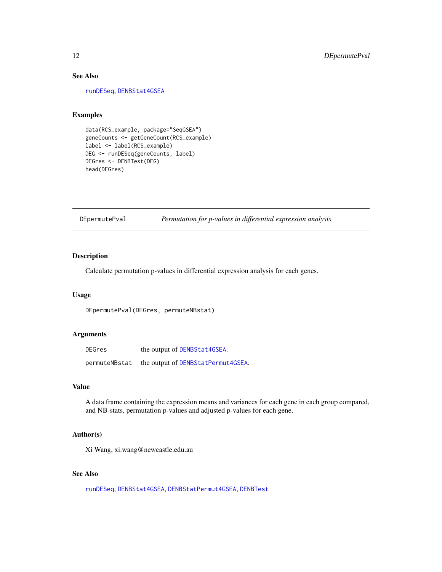### See Also

[runDESeq](#page-44-1), [DENBStat4GSEA](#page-8-1)

### Examples

```
data(RCS_example, package="SeqGSEA")
geneCounts <- getGeneCount(RCS_example)
label <- label(RCS_example)
DEG <- runDESeq(geneCounts, label)
DEGres <- DENBTest(DEG)
head(DEGres)
```
<span id="page-11-1"></span>DEpermutePval *Permutation for p-values in differential expression analysis*

### Description

Calculate permutation p-values in differential expression analysis for each genes.

### Usage

DEpermutePval(DEGres, permuteNBstat)

### Arguments

| <b>DEGres</b> | the output of DENBStat4GSEA.       |
|---------------|------------------------------------|
| permuteNBstat | the output of DENBStatPermut4GSEA. |

### Value

A data frame containing the expression means and variances for each gene in each group compared, and NB-stats, permutation p-values and adjusted p-values for each gene.

#### Author(s)

Xi Wang, xi.wang@newcastle.edu.au

### See Also

[runDESeq](#page-44-1), [DENBStat4GSEA](#page-8-1), [DENBStatPermut4GSEA](#page-9-1), [DENBTest](#page-10-1)

<span id="page-11-0"></span>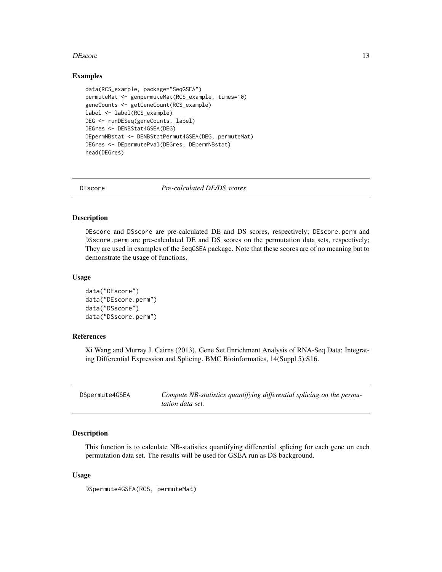#### <span id="page-12-0"></span>DEscore in the set of the set of the set of the set of the set of the set of the set of the set of the set of the set of the set of the set of the set of the set of the set of the set of the set of the set of the set of th

#### Examples

```
data(RCS_example, package="SeqGSEA")
permuteMat <- genpermuteMat(RCS_example, times=10)
geneCounts <- getGeneCount(RCS_example)
label <- label(RCS_example)
DEG <- runDESeq(geneCounts, label)
DEGres <- DENBStat4GSEA(DEG)
DEpermNBstat <- DENBStatPermut4GSEA(DEG, permuteMat)
DEGres <- DEpermutePval(DEGres, DEpermNBstat)
head(DEGres)
```
<span id="page-12-2"></span>

DEscore *Pre-calculated DE/DS scores*

#### Description

DEscore and DSscore are pre-calculated DE and DS scores, respectively; DEscore.perm and DSscore.perm are pre-calculated DE and DS scores on the permutation data sets, respectively; They are used in examples of the SeqGSEA package. Note that these scores are of no meaning but to demonstrate the usage of functions.

#### Usage

```
data("DEscore")
data("DEscore.perm")
data("DSscore")
data("DSscore.perm")
```
### References

Xi Wang and Murray J. Cairns (2013). Gene Set Enrichment Analysis of RNA-Seq Data: Integrating Differential Expression and Splicing. BMC Bioinformatics, 14(Suppl 5):S16.

<span id="page-12-1"></span>

| DSpermute4GSEA | Compute NB-statistics quantifying differential splicing on the permu- |
|----------------|-----------------------------------------------------------------------|
|                | <i>tation data set.</i>                                               |

### Description

This function is to calculate NB-statistics quantifying differential splicing for each gene on each permutation data set. The results will be used for GSEA run as DS background.

#### Usage

DSpermute4GSEA(RCS, permuteMat)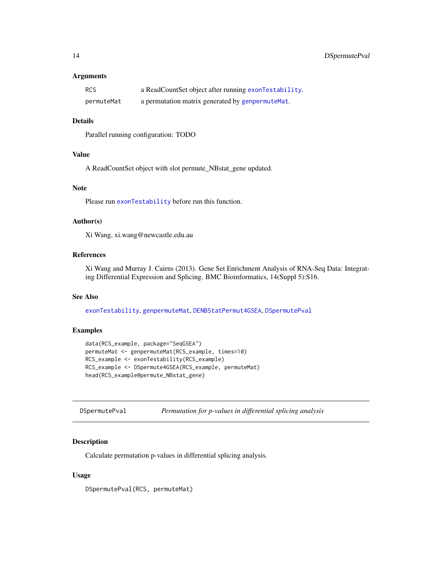<span id="page-13-0"></span>

| <b>RCS</b> | a ReadCountSet object after running exonTestability. |
|------------|------------------------------------------------------|
| permuteMat | a permutation matrix generated by genpermute Mat.    |

### Details

Parallel running configuration: TODO

### Value

A ReadCountSet object with slot permute\_NBstat\_gene updated.

### Note

Please run [exonTestability](#page-19-2) before run this function.

#### Author(s)

Xi Wang, xi.wang@newcastle.edu.au

### References

Xi Wang and Murray J. Cairns (2013). Gene Set Enrichment Analysis of RNA-Seq Data: Integrating Differential Expression and Splicing. BMC Bioinformatics, 14(Suppl 5):S16.

### See Also

[exonTestability](#page-19-2), [genpermuteMat](#page-27-1), [DENBStatPermut4GSEA](#page-9-1), [DSpermutePval](#page-13-1)

### Examples

```
data(RCS_example, package="SeqGSEA")
permuteMat <- genpermuteMat(RCS_example, times=10)
RCS_example <- exonTestability(RCS_example)
RCS_example <- DSpermute4GSEA(RCS_example, permuteMat)
head(RCS_example@permute_NBstat_gene)
```
<span id="page-13-1"></span>DSpermutePval *Permutation for p-values in differential splicing analysis*

#### Description

Calculate permutation p-values in differential splicing analysis.

#### Usage

DSpermutePval(RCS, permuteMat)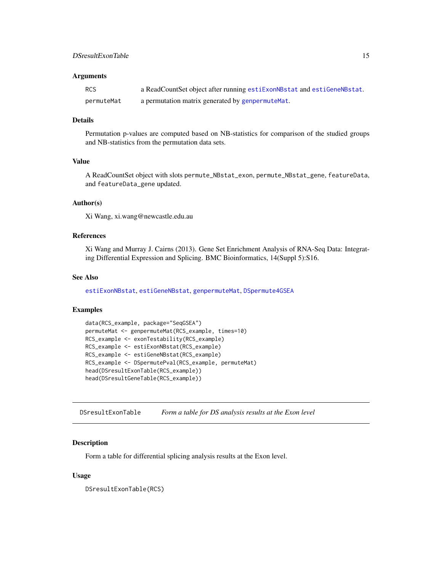<span id="page-14-0"></span>

| <b>RCS</b> | a ReadCountSet object after running estiExonNBstat and estiGeneNBstat. |
|------------|------------------------------------------------------------------------|
| permuteMat | a permutation matrix generated by genpermute Mat.                      |

#### Details

Permutation p-values are computed based on NB-statistics for comparison of the studied groups and NB-statistics from the permutation data sets.

#### Value

A ReadCountSet object with slots permute\_NBstat\_exon, permute\_NBstat\_gene, featureData, and featureData\_gene updated.

### Author(s)

Xi Wang, xi.wang@newcastle.edu.au

### References

Xi Wang and Murray J. Cairns (2013). Gene Set Enrichment Analysis of RNA-Seq Data: Integrating Differential Expression and Splicing. BMC Bioinformatics, 14(Suppl 5):S16.

#### See Also

[estiExonNBstat](#page-16-1), [estiGeneNBstat](#page-17-1), [genpermuteMat](#page-27-1), [DSpermute4GSEA](#page-12-1)

### Examples

```
data(RCS_example, package="SeqGSEA")
permuteMat <- genpermuteMat(RCS_example, times=10)
RCS_example <- exonTestability(RCS_example)
RCS_example <- estiExonNBstat(RCS_example)
RCS_example <- estiGeneNBstat(RCS_example)
RCS_example <- DSpermutePval(RCS_example, permuteMat)
head(DSresultExonTable(RCS_example))
head(DSresultGeneTable(RCS_example))
```
<span id="page-14-1"></span>DSresultExonTable *Form a table for DS analysis results at the Exon level*

### Description

Form a table for differential splicing analysis results at the Exon level.

#### Usage

DSresultExonTable(RCS)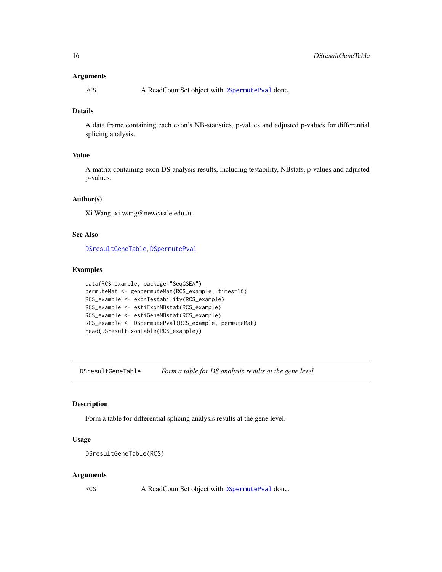<span id="page-15-0"></span>RCS A ReadCountSet object with [DSpermutePval](#page-13-1) done.

### Details

A data frame containing each exon's NB-statistics, p-values and adjusted p-values for differential splicing analysis.

### Value

A matrix containing exon DS analysis results, including testability, NBstats, p-values and adjusted p-values.

### Author(s)

Xi Wang, xi.wang@newcastle.edu.au

### See Also

[DSresultGeneTable](#page-15-1), [DSpermutePval](#page-13-1)

### Examples

```
data(RCS_example, package="SeqGSEA")
permuteMat <- genpermuteMat(RCS_example, times=10)
RCS_example <- exonTestability(RCS_example)
RCS_example <- estiExonNBstat(RCS_example)
RCS_example <- estiGeneNBstat(RCS_example)
RCS_example <- DSpermutePval(RCS_example, permuteMat)
head(DSresultExonTable(RCS_example))
```
<span id="page-15-1"></span>DSresultGeneTable *Form a table for DS analysis results at the gene level*

#### Description

Form a table for differential splicing analysis results at the gene level.

### Usage

```
DSresultGeneTable(RCS)
```
#### Arguments

RCS A ReadCountSet object with [DSpermutePval](#page-13-1) done.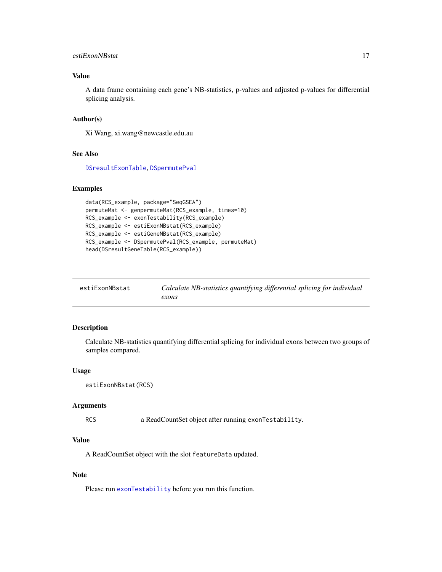### <span id="page-16-0"></span>estiExonNBstat 17

### Value

A data frame containing each gene's NB-statistics, p-values and adjusted p-values for differential splicing analysis.

### Author(s)

Xi Wang, xi.wang@newcastle.edu.au

#### See Also

[DSresultExonTable](#page-14-1), [DSpermutePval](#page-13-1)

#### Examples

```
data(RCS_example, package="SeqGSEA")
permuteMat <- genpermuteMat(RCS_example, times=10)
RCS_example <- exonTestability(RCS_example)
RCS_example <- estiExonNBstat(RCS_example)
RCS_example <- estiGeneNBstat(RCS_example)
RCS_example <- DSpermutePval(RCS_example, permuteMat)
head(DSresultGeneTable(RCS_example))
```
<span id="page-16-1"></span>

| estiExonNBstat | Calculate NB-statistics quantifying differential splicing for individual |
|----------------|--------------------------------------------------------------------------|
|                | exons                                                                    |

### Description

Calculate NB-statistics quantifying differential splicing for individual exons between two groups of samples compared.

#### Usage

```
estiExonNBstat(RCS)
```
#### Arguments

RCS a ReadCountSet object after running exonTestability.

### Value

A ReadCountSet object with the slot featureData updated.

#### Note

Please run [exonTestability](#page-19-2) before you run this function.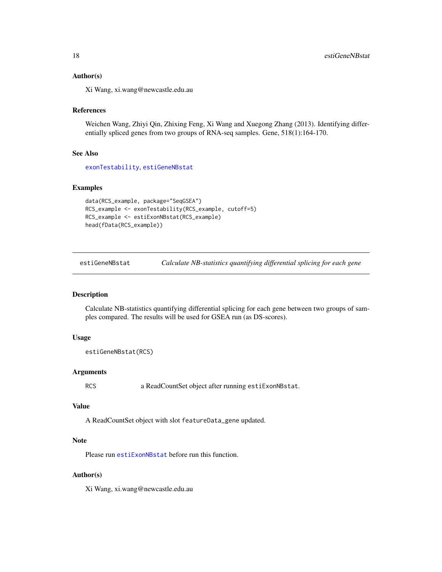#### <span id="page-17-0"></span>Author(s)

Xi Wang, xi.wang@newcastle.edu.au

#### References

Weichen Wang, Zhiyi Qin, Zhixing Feng, Xi Wang and Xuegong Zhang (2013). Identifying differentially spliced genes from two groups of RNA-seq samples. Gene, 518(1):164-170.

#### See Also

[exonTestability](#page-19-2), [estiGeneNBstat](#page-17-1)

### Examples

```
data(RCS_example, package="SeqGSEA")
RCS_example <- exonTestability(RCS_example, cutoff=5)
RCS_example <- estiExonNBstat(RCS_example)
head(fData(RCS_example))
```
<span id="page-17-1"></span>estiGeneNBstat *Calculate NB-statistics quantifying differential splicing for each gene*

### Description

Calculate NB-statistics quantifying differential splicing for each gene between two groups of samples compared. The results will be used for GSEA run (as DS-scores).

### Usage

```
estiGeneNBstat(RCS)
```
#### Arguments

RCS a ReadCountSet object after running estiExonNBstat.

#### Value

A ReadCountSet object with slot featureData\_gene updated.

### Note

Please run [estiExonNBstat](#page-16-1) before run this function.

### Author(s)

Xi Wang, xi.wang@newcastle.edu.au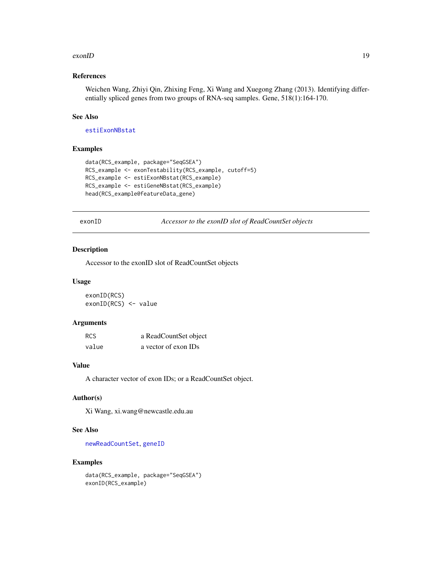#### <span id="page-18-0"></span>exonID 19

### References

Weichen Wang, Zhiyi Qin, Zhixing Feng, Xi Wang and Xuegong Zhang (2013). Identifying differentially spliced genes from two groups of RNA-seq samples. Gene, 518(1):164-170.

### See Also

[estiExonNBstat](#page-16-1)

#### Examples

```
data(RCS_example, package="SeqGSEA")
RCS_example <- exonTestability(RCS_example, cutoff=5)
RCS_example <- estiExonNBstat(RCS_example)
RCS_example <- estiGeneNBstat(RCS_example)
head(RCS_example@featureData_gene)
```
<span id="page-18-1"></span>exonID *Accessor to the exonID slot of ReadCountSet objects*

### Description

Accessor to the exonID slot of ReadCountSet objects

### Usage

exonID(RCS) exonID(RCS) <- value

### Arguments

| RCS   | a ReadCountSet object |
|-------|-----------------------|
| value | a vector of exon IDs  |

### Value

A character vector of exon IDs; or a ReadCountSet object.

#### Author(s)

Xi Wang, xi.wang@newcastle.edu.au

### See Also

[newReadCountSet](#page-35-1), [geneID](#page-19-1)

```
data(RCS_example, package="SeqGSEA")
exonID(RCS_example)
```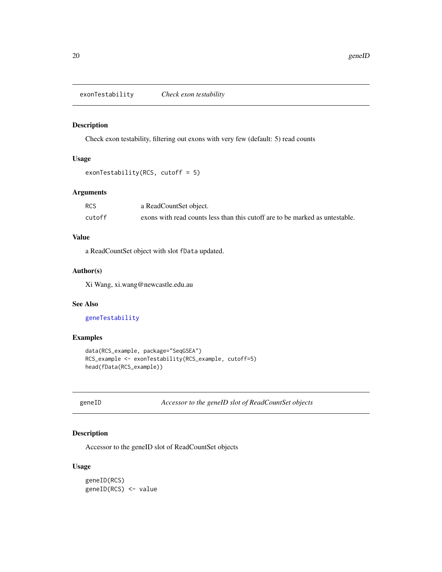<span id="page-19-2"></span><span id="page-19-0"></span>exonTestability *Check exon testability*

#### Description

Check exon testability, filtering out exons with very few (default: 5) read counts

### Usage

```
exonTestability(RCS, cutoff = 5)
```
### Arguments

| RCS    | a ReadCountSet object.                                                       |
|--------|------------------------------------------------------------------------------|
| cutoff | exons with read counts less than this cutoff are to be marked as untestable. |

### Value

a ReadCountSet object with slot fData updated.

### Author(s)

Xi Wang, xi.wang@newcastle.edu.au

### See Also

[geneTestability](#page-26-1)

### Examples

```
data(RCS_example, package="SeqGSEA")
RCS_example <- exonTestability(RCS_example, cutoff=5)
head(fData(RCS_example))
```
<span id="page-19-1"></span>geneID *Accessor to the geneID slot of ReadCountSet objects*

### Description

Accessor to the geneID slot of ReadCountSet objects

#### Usage

geneID(RCS) geneID(RCS) <- value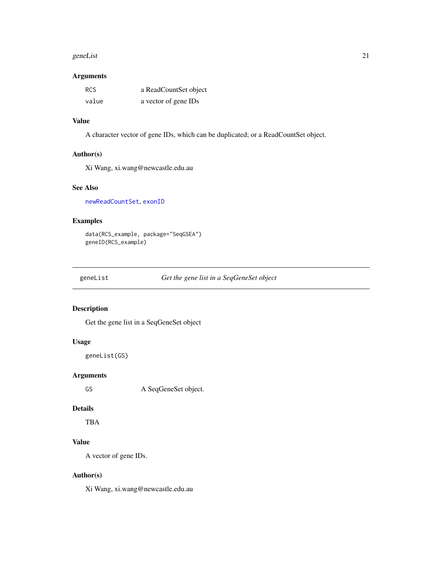#### <span id="page-20-0"></span>geneList 21

#### Arguments

| RCS   | a ReadCountSet object |
|-------|-----------------------|
| value | a vector of gene IDs  |

### Value

A character vector of gene IDs, which can be duplicated; or a ReadCountSet object.

### Author(s)

Xi Wang, xi.wang@newcastle.edu.au

### See Also

[newReadCountSet](#page-35-1), [exonID](#page-18-1)

### Examples

data(RCS\_example, package="SeqGSEA") geneID(RCS\_example)

geneList *Get the gene list in a SeqGeneSet object*

### Description

Get the gene list in a SeqGeneSet object

### Usage

geneList(GS)

### Arguments

GS A SeqGeneSet object.

#### Details

TBA

## Value

A vector of gene IDs.

### Author(s)

Xi Wang, xi.wang@newcastle.edu.au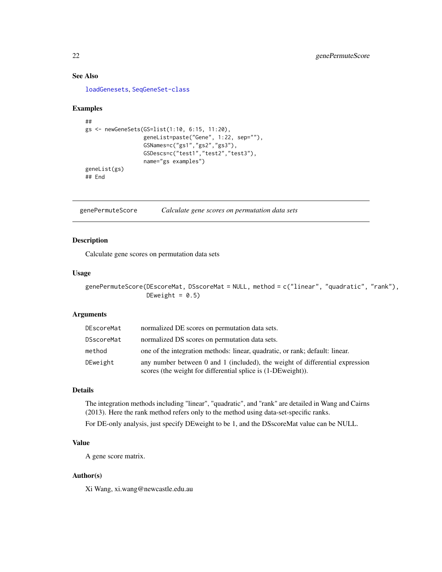### See Also

[loadGenesets](#page-33-1), [SeqGeneSet-class](#page-48-1)

#### Examples

```
##
gs <- newGeneSets(GS=list(1:10, 6:15, 11:20),
                  geneList=paste("Gene", 1:22, sep=""),
                  GSNames=c("gs1","gs2","gs3"),
                  GSDescs=c("test1","test2","test3"),
                  name="gs examples")
geneList(gs)
## End
```
<span id="page-21-1"></span>genePermuteScore *Calculate gene scores on permutation data sets*

#### Description

Calculate gene scores on permutation data sets

### Usage

genePermuteScore(DEscoreMat, DSscoreMat = NULL, method = c("linear", "quadratic", "rank"), DEweight =  $0.5$ )

#### Arguments

| DEscoreMat | normalized DE scores on permutation data sets.                                                                                                      |
|------------|-----------------------------------------------------------------------------------------------------------------------------------------------------|
| DSscoreMat | normalized DS scores on permutation data sets.                                                                                                      |
| method     | one of the integration methods: linear, quadratic, or rank; default: linear.                                                                        |
| DEweight   | any number between $0$ and $1$ (included), the weight of differential expression<br>scores (the weight for differential splice is $(1-DEweight)$ ). |

### Details

The integration methods including "linear", "quadratic", and "rank" are detailed in Wang and Cairns (2013). Here the rank method refers only to the method using data-set-specific ranks.

For DE-only analysis, just specify DEweight to be 1, and the DSscoreMat value can be NULL.

### Value

A gene score matrix.

#### Author(s)

Xi Wang, xi.wang@newcastle.edu.au

<span id="page-21-0"></span>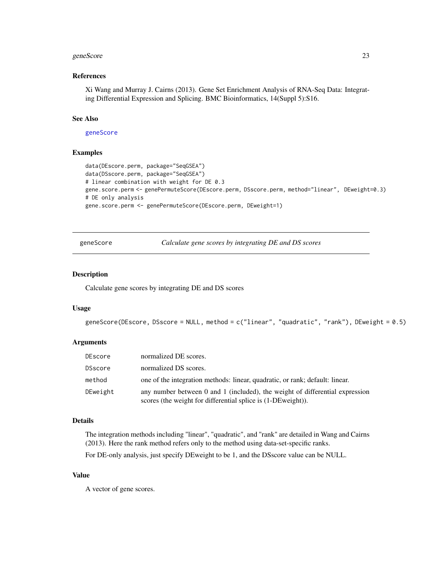### <span id="page-22-0"></span>geneScore 23

#### References

Xi Wang and Murray J. Cairns (2013). Gene Set Enrichment Analysis of RNA-Seq Data: Integrating Differential Expression and Splicing. BMC Bioinformatics, 14(Suppl 5):S16.

### See Also

[geneScore](#page-22-1)

#### Examples

```
data(DEscore.perm, package="SeqGSEA")
data(DSscore.perm, package="SeqGSEA")
# linear combination with weight for DE 0.3
gene.score.perm <- genePermuteScore(DEscore.perm, DSscore.perm, method="linear", DEweight=0.3)
# DE only analysis
gene.score.perm <- genePermuteScore(DEscore.perm, DEweight=1)
```
<span id="page-22-1"></span>geneScore *Calculate gene scores by integrating DE and DS scores*

#### Description

Calculate gene scores by integrating DE and DS scores

#### Usage

```
geneScore(DEscore, DSscore = NULL, method = c("linear", "quadratic", "rank"), DEweight = 0.5)
```
#### Arguments

| DEscore  | normalized DE scores.                                                                                                                           |
|----------|-------------------------------------------------------------------------------------------------------------------------------------------------|
| DSscore  | normalized DS scores.                                                                                                                           |
| method   | one of the integration methods: linear, quadratic, or rank; default: linear.                                                                    |
| DEweight | any number between 0 and 1 (included), the weight of differential expression<br>scores (the weight for differential splice is $(1-DEweight)$ ). |

### Details

The integration methods including "linear", "quadratic", and "rank" are detailed in Wang and Cairns (2013). Here the rank method refers only to the method using data-set-specific ranks.

For DE-only analysis, just specify DEweight to be 1, and the DSscore value can be NULL.

### Value

A vector of gene scores.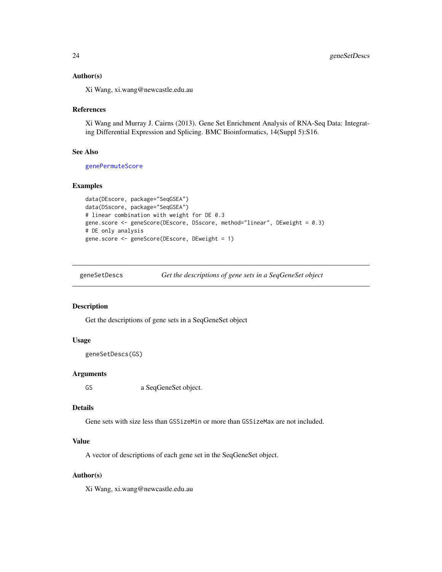#### <span id="page-23-0"></span>Author(s)

Xi Wang, xi.wang@newcastle.edu.au

### References

Xi Wang and Murray J. Cairns (2013). Gene Set Enrichment Analysis of RNA-Seq Data: Integrating Differential Expression and Splicing. BMC Bioinformatics, 14(Suppl 5):S16.

#### See Also

[genePermuteScore](#page-21-1)

#### Examples

```
data(DEscore, package="SeqGSEA")
data(DSscore, package="SeqGSEA")
# linear combination with weight for DE 0.3
gene.score <- geneScore(DEscore, DSscore, method="linear", DEweight = 0.3)
# DE only analysis
gene.score <- geneScore(DEscore, DEweight = 1)
```
<span id="page-23-1"></span>

| geneSetDescs | Get the descriptions of gene sets in a SeqGeneSet object |  |
|--------------|----------------------------------------------------------|--|
|              |                                                          |  |

### Description

Get the descriptions of gene sets in a SeqGeneSet object

### Usage

```
geneSetDescs(GS)
```
### Arguments

GS a SeqGeneSet object.

#### Details

Gene sets with size less than GSSizeMin or more than GSSizeMax are not included.

### Value

A vector of descriptions of each gene set in the SeqGeneSet object.

### Author(s)

Xi Wang, xi.wang@newcastle.edu.au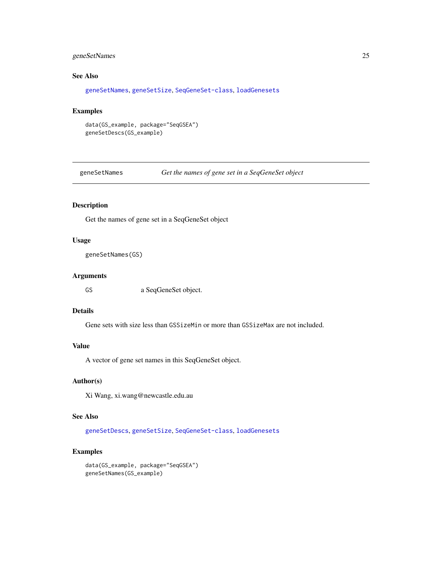### <span id="page-24-0"></span>geneSetNames 25

### See Also

[geneSetNames](#page-24-1), [geneSetSize](#page-25-1), [SeqGeneSet-class](#page-48-1), [loadGenesets](#page-33-1)

### Examples

```
data(GS_example, package="SeqGSEA")
geneSetDescs(GS_example)
```
<span id="page-24-1"></span>geneSetNames *Get the names of gene set in a SeqGeneSet object*

### Description

Get the names of gene set in a SeqGeneSet object

#### Usage

```
geneSetNames(GS)
```
### Arguments

GS a SeqGeneSet object.

### Details

Gene sets with size less than GSSizeMin or more than GSSizeMax are not included.

### Value

A vector of gene set names in this SeqGeneSet object.

### Author(s)

Xi Wang, xi.wang@newcastle.edu.au

### See Also

[geneSetDescs](#page-23-1), [geneSetSize](#page-25-1), [SeqGeneSet-class](#page-48-1), [loadGenesets](#page-33-1)

```
data(GS_example, package="SeqGSEA")
geneSetNames(GS_example)
```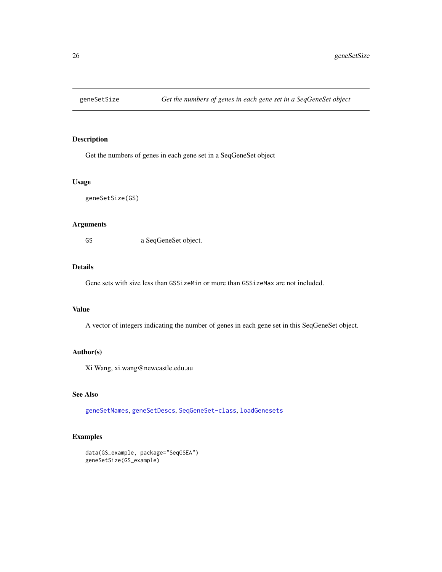<span id="page-25-1"></span><span id="page-25-0"></span>

Get the numbers of genes in each gene set in a SeqGeneSet object

### Usage

geneSetSize(GS)

#### Arguments

GS a SeqGeneSet object.

### Details

Gene sets with size less than GSSizeMin or more than GSSizeMax are not included.

### Value

A vector of integers indicating the number of genes in each gene set in this SeqGeneSet object.

### Author(s)

Xi Wang, xi.wang@newcastle.edu.au

#### See Also

[geneSetNames](#page-24-1), [geneSetDescs](#page-23-1), [SeqGeneSet-class](#page-48-1), [loadGenesets](#page-33-1)

```
data(GS_example, package="SeqGSEA")
geneSetSize(GS_example)
```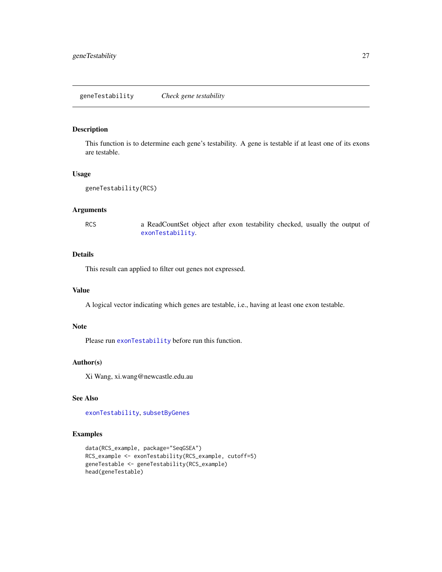<span id="page-26-1"></span><span id="page-26-0"></span>This function is to determine each gene's testability. A gene is testable if at least one of its exons are testable.

#### Usage

```
geneTestability(RCS)
```
### Arguments

RCS a ReadCountSet object after exon testability checked, usually the output of [exonTestability](#page-19-2).

### Details

This result can applied to filter out genes not expressed.

### Value

A logical vector indicating which genes are testable, i.e., having at least one exon testable.

#### Note

Please run [exonTestability](#page-19-2) before run this function.

### Author(s)

Xi Wang, xi.wang@newcastle.edu.au

### See Also

[exonTestability](#page-19-2), [subsetByGenes](#page-51-1)

```
data(RCS_example, package="SeqGSEA")
RCS_example <- exonTestability(RCS_example, cutoff=5)
geneTestable <- geneTestability(RCS_example)
head(geneTestable)
```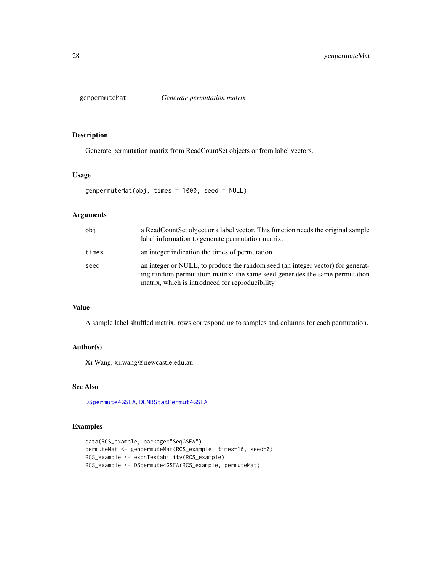<span id="page-27-1"></span><span id="page-27-0"></span>

Generate permutation matrix from ReadCountSet objects or from label vectors.

### Usage

genpermuteMat(obj, times = 1000, seed = NULL)

### Arguments

| obi   | a ReadCountSet object or a label vector. This function needs the original sample<br>label information to generate permutation matrix.                                                                              |
|-------|--------------------------------------------------------------------------------------------------------------------------------------------------------------------------------------------------------------------|
| times | an integer indication the times of permutation.                                                                                                                                                                    |
| seed  | an integer or NULL, to produce the random seed (an integer vector) for generat-<br>ing random permutation matrix: the same seed generates the same permutation<br>matrix, which is introduced for reproducibility. |

### Value

A sample label shuffled matrix, rows corresponding to samples and columns for each permutation.

### Author(s)

Xi Wang, xi.wang@newcastle.edu.au

### See Also

[DSpermute4GSEA](#page-12-1), [DENBStatPermut4GSEA](#page-9-1)

```
data(RCS_example, package="SeqGSEA")
permuteMat <- genpermuteMat(RCS_example, times=10, seed=0)
RCS_example <- exonTestability(RCS_example)
RCS_example <- DSpermute4GSEA(RCS_example, permuteMat)
```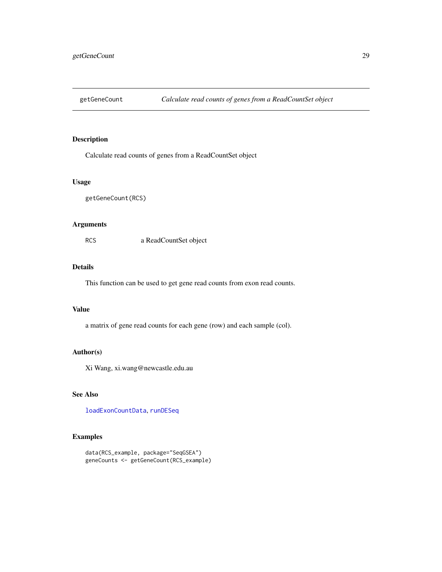<span id="page-28-1"></span><span id="page-28-0"></span>

Calculate read counts of genes from a ReadCountSet object

### Usage

getGeneCount(RCS)

#### Arguments

RCS a ReadCountSet object

### Details

This function can be used to get gene read counts from exon read counts.

### Value

a matrix of gene read counts for each gene (row) and each sample (col).

### Author(s)

Xi Wang, xi.wang@newcastle.edu.au

### See Also

[loadExonCountData](#page-32-1), [runDESeq](#page-44-1)

```
data(RCS_example, package="SeqGSEA")
geneCounts <- getGeneCount(RCS_example)
```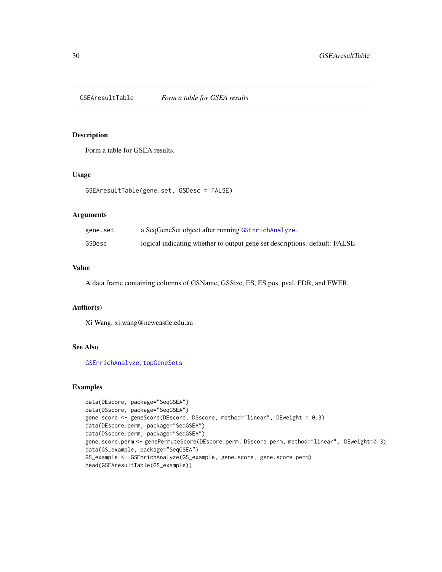<span id="page-29-1"></span><span id="page-29-0"></span>GSEAresultTable *Form a table for GSEA results*

### Description

Form a table for GSEA results.

### Usage

```
GSEAresultTable(gene.set, GSDesc = FALSE)
```
### Arguments

| gene.set | a SeqGeneSet object after running GSEnrichAnalyze.                         |
|----------|----------------------------------------------------------------------------|
| GSDesc   | logical indicating whether to output gene set descriptions. default: FALSE |

### Value

A data frame containing columns of GSName, GSSize, ES, ES.pos, pval, FDR, and FWER.

### Author(s)

Xi Wang, xi.wang@newcastle.edu.au

#### See Also

[GSEnrichAnalyze](#page-30-1), [topGeneSets](#page-55-1)

```
data(DEscore, package="SeqGSEA")
data(DSscore, package="SeqGSEA")
gene.score <- geneScore(DEscore, DSscore, method="linear", DEweight = 0.3)
data(DEscore.perm, package="SeqGSEA")
data(DSscore.perm, package="SeqGSEA")
gene.score.perm <- genePermuteScore(DEscore.perm, DSscore.perm, method="linear", DEweight=0.3)
data(GS_example, package="SeqGSEA")
GS_example <- GSEnrichAnalyze(GS_example, gene.score, gene.score.perm)
head(GSEAresultTable(GS_example))
```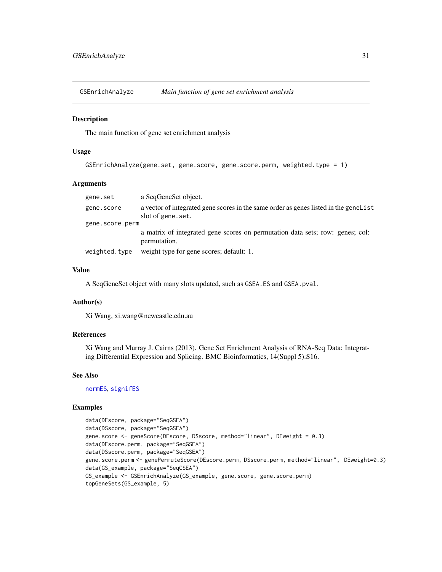<span id="page-30-1"></span><span id="page-30-0"></span>GSEnrichAnalyze *Main function of gene set enrichment analysis*

### Description

The main function of gene set enrichment analysis

#### Usage

```
GSEnrichAnalyze(gene.set, gene.score, gene.score.perm, weighted.type = 1)
```
#### Arguments

| gene.set        | a SeqGeneSet object.                                                                                      |
|-----------------|-----------------------------------------------------------------------------------------------------------|
| gene.score      | a vector of integrated gene scores in the same order as genes listed in the genelist<br>slot of gene.set. |
| gene.score.perm |                                                                                                           |
|                 | a matrix of integrated gene scores on permutation data sets; row: genes; col:<br>permutation.             |
| weighted.type   | weight type for gene scores; default: 1.                                                                  |

### Value

A SeqGeneSet object with many slots updated, such as GSEA.ES and GSEA.pval.

#### Author(s)

Xi Wang, xi.wang@newcastle.edu.au

### References

Xi Wang and Murray J. Cairns (2013). Gene Set Enrichment Analysis of RNA-Seq Data: Integrating Differential Expression and Splicing. BMC Bioinformatics, 14(Suppl 5):S16.

#### See Also

[normES](#page-36-1), [signifES](#page-50-2)

```
data(DEscore, package="SeqGSEA")
data(DSscore, package="SeqGSEA")
gene.score <- geneScore(DEscore, DSscore, method="linear", DEweight = 0.3)
data(DEscore.perm, package="SeqGSEA")
data(DSscore.perm, package="SeqGSEA")
gene.score.perm <- genePermuteScore(DEscore.perm, DSscore.perm, method="linear", DEweight=0.3)
data(GS_example, package="SeqGSEA")
GS_example <- GSEnrichAnalyze(GS_example, gene.score, gene.score.perm)
topGeneSets(GS_example, 5)
```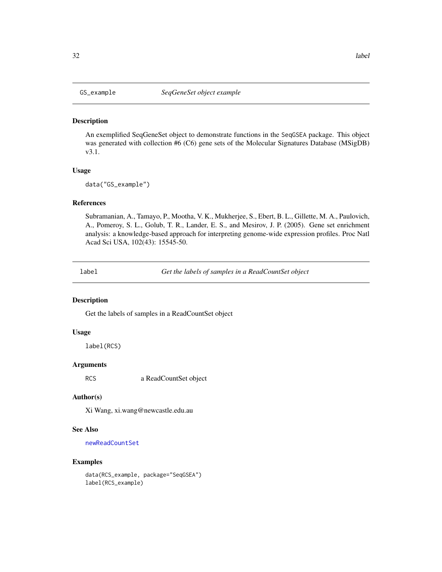<span id="page-31-0"></span>An exemplified SeqGeneSet object to demonstrate functions in the SeqGSEA package. This object was generated with collection #6 (C6) gene sets of the Molecular Signatures Database (MSigDB) v3.1.

### Usage

data("GS\_example")

### References

Subramanian, A., Tamayo, P., Mootha, V. K., Mukherjee, S., Ebert, B. L., Gillette, M. A., Paulovich, A., Pomeroy, S. L., Golub, T. R., Lander, E. S., and Mesirov, J. P. (2005). Gene set enrichment analysis: a knowledge-based approach for interpreting genome-wide expression profiles. Proc Natl Acad Sci USA, 102(43): 15545-50.

<span id="page-31-1"></span>label *Get the labels of samples in a ReadCountSet object*

#### Description

Get the labels of samples in a ReadCountSet object

#### Usage

label(RCS)

### Arguments

RCS a ReadCountSet object

### Author(s)

Xi Wang, xi.wang@newcastle.edu.au

### See Also

[newReadCountSet](#page-35-1)

### Examples

data(RCS\_example, package="SeqGSEA") label(RCS\_example)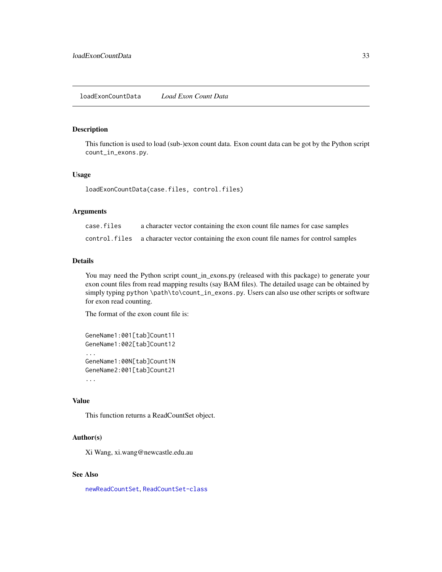<span id="page-32-1"></span><span id="page-32-0"></span>This function is used to load (sub-)exon count data. Exon count data can be got by the Python script count\_in\_exons.py.

### Usage

loadExonCountData(case.files, control.files)

#### Arguments

| case.files | a character vector containing the exon count file names for case samples                   |
|------------|--------------------------------------------------------------------------------------------|
|            | control. files a character vector containing the exon count file names for control samples |

#### Details

You may need the Python script count\_in\_exons.py (released with this package) to generate your exon count files from read mapping results (say BAM files). The detailed usage can be obtained by simply typing python \path\to\count\_in\_exons.py. Users can also use other scripts or software for exon read counting.

The format of the exon count file is:

```
GeneName1:001[tab]Count11
GeneName1:002[tab]Count12
...
GeneName1:00N[tab]Count1N
GeneName2:001[tab]Count21
...
```
#### Value

This function returns a ReadCountSet object.

### Author(s)

Xi Wang, xi.wang@newcastle.edu.au

#### See Also

[newReadCountSet](#page-35-1), [ReadCountSet-class](#page-43-1)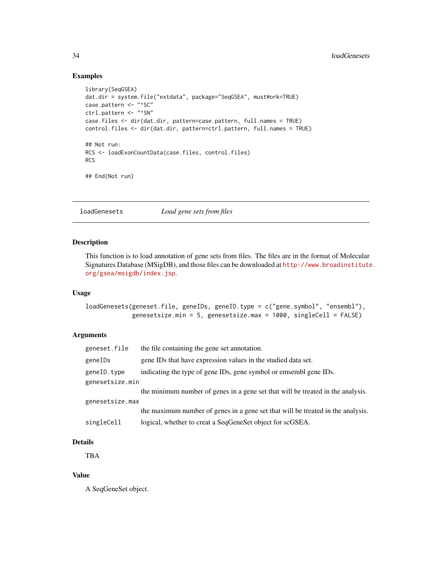### Examples

```
library(SeqGSEA)
dat.dir = system.file("extdata", package="SeqGSEA", mustWork=TRUE)
case.pattern <- "^SC"
ctrl.pattern <- "^SN"
case.files <- dir(dat.dir, pattern=case.pattern, full.names = TRUE)
control.files <- dir(dat.dir, pattern=ctrl.pattern, full.names = TRUE)
## Not run:
RCS <- loadExonCountData(case.files, control.files)
RCS
## End(Not run)
```
<span id="page-33-1"></span>loadGenesets *Load gene sets from files*

### Description

This function is to load annotation of gene sets from files. The files are in the format of Molecular Signatures Database (MSigDB), and those files can be downloaded at [http://www.broadinstitute](http://www.broadinstitute.org/gsea/msigdb/index.jsp). [org/gsea/msigdb/index.jsp](http://www.broadinstitute.org/gsea/msigdb/index.jsp).

#### Usage

```
loadGenesets(geneset.file, geneIDs, geneID.type = c("gene.symbol", "ensembl"),
             genesetsize.min = 5, genesetsize.max = 1000, singleCell = FALSE)
```
### Arguments

| geneset.file    | the file containing the gene set annotation.                                    |
|-----------------|---------------------------------------------------------------------------------|
| geneIDs         | gene IDs that have expression values in the studied data set.                   |
| geneID.type     | indicating the type of gene IDs, gene symbol or emsembl gene IDs.               |
| genesetsize.min |                                                                                 |
|                 | the minimum number of genes in a gene set that will be treated in the analysis. |
| genesetsize.max |                                                                                 |
|                 | the maximum number of genes in a gene set that will be treated in the analysis. |
| singleCell      | logical, whether to creat a SeqGeneSet object for scGSEA.                       |

### Details

TBA

### Value

A SeqGeneSet object.

<span id="page-33-0"></span>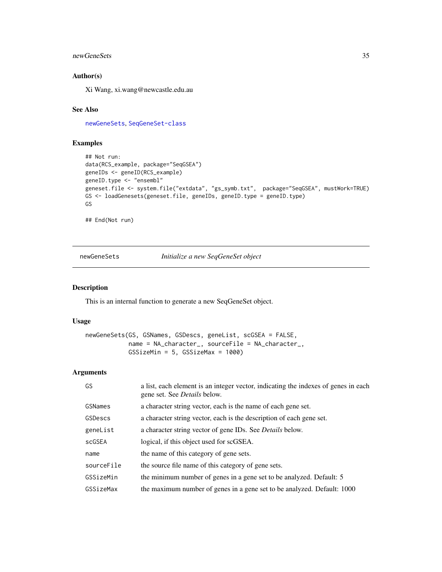### <span id="page-34-0"></span>newGeneSets 35

### Author(s)

Xi Wang, xi.wang@newcastle.edu.au

### See Also

[newGeneSets](#page-34-1), [SeqGeneSet-class](#page-48-1)

### Examples

```
## Not run:
data(RCS_example, package="SeqGSEA")
geneIDs <- geneID(RCS_example)
geneID.type <- "ensembl"
geneset.file <- system.file("extdata", "gs_symb.txt", package="SeqGSEA", mustWork=TRUE)
GS <- loadGenesets(geneset.file, geneIDs, geneID.type = geneID.type)
GS
```
## End(Not run)

<span id="page-34-1"></span>newGeneSets *Initialize a new SeqGeneSet object*

#### Description

This is an internal function to generate a new SeqGeneSet object.

### Usage

newGeneSets(GS, GSNames, GSDescs, geneList, scGSEA = FALSE, name = NA\_character\_, sourceFile = NA\_character\_, GSSizeMin = 5, GSSizeMax = 1000)

#### Arguments

| GS.        | a list, each element is an integer vector, indicating the indexes of genes in each<br>gene set. See <i>Details</i> below. |
|------------|---------------------------------------------------------------------------------------------------------------------------|
| GSNames    | a character string vector, each is the name of each gene set.                                                             |
| GSDescs    | a character string vector, each is the description of each gene set.                                                      |
| geneList   | a character string vector of gene IDs. See <i>Details</i> below.                                                          |
| scGSEA     | logical, if this object used for scGSEA.                                                                                  |
| name       | the name of this category of gene sets.                                                                                   |
| sourceFile | the source file name of this category of gene sets.                                                                       |
| GSSizeMin  | the minimum number of genes in a gene set to be analyzed. Default: 5                                                      |
| GSSizeMax  | the maximum number of genes in a gene set to be analyzed. Default: 1000                                                   |
|            |                                                                                                                           |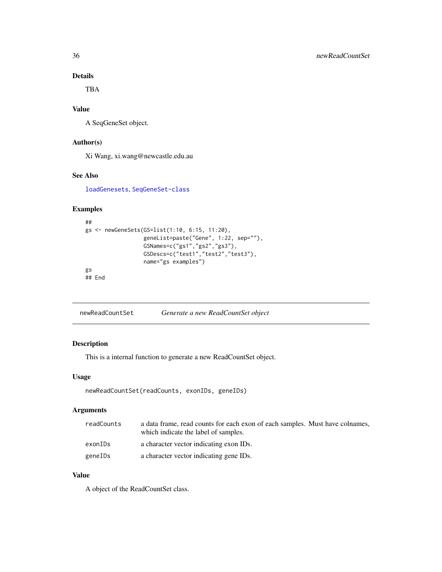### Details

TBA

### Value

A SeqGeneSet object.

### Author(s)

Xi Wang, xi.wang@newcastle.edu.au

### See Also

[loadGenesets](#page-33-1), [SeqGeneSet-class](#page-48-1)

### Examples

```
##
gs <- newGeneSets(GS=list(1:10, 6:15, 11:20),
                  geneList=paste("Gene", 1:22, sep=""),
                  GSNames=c("gs1","gs2","gs3"),
                  GSDescs=c("test1","test2","test3"),
                  name="gs examples")
gs
## End
```
<span id="page-35-1"></span>

### Description

This is a internal function to generate a new ReadCountSet object.

### Usage

```
newReadCountSet(readCounts, exonIDs, geneIDs)
```
#### Arguments

| readCounts | a data frame, read counts for each exon of each samples. Must have colnames,<br>which indicate the label of samples. |
|------------|----------------------------------------------------------------------------------------------------------------------|
| exonIDs    | a character vector indicating exon IDs.                                                                              |
| geneIDs    | a character vector indicating gene IDs.                                                                              |

### Value

A object of the ReadCountSet class.

<span id="page-35-0"></span>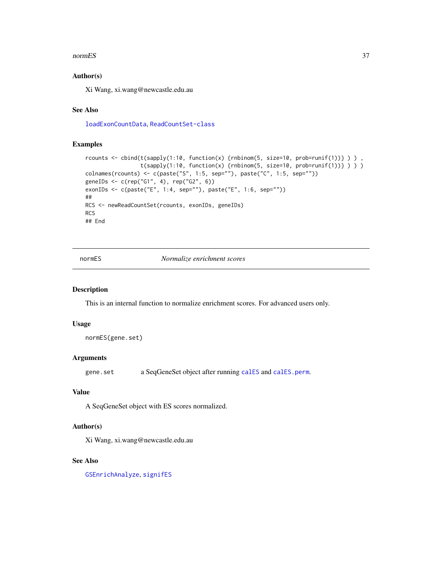#### <span id="page-36-0"></span>normES 37

### Author(s)

Xi Wang, xi.wang@newcastle.edu.au

#### See Also

[loadExonCountData](#page-32-1), [ReadCountSet-class](#page-43-1)

#### Examples

```
rcounts <- cbind(t(sapply(1:10, function(x) {rnbinom(5, size=10, prob=runif(1))} ) ),
                 t(sapply(1:10, function(x) {rnbinom(5, size=10, prob=runif(1))}) ) )colnames(rcounts) <- c(paste("S", 1:5, sep=""), paste("C", 1:5, sep=""))
geneIDs <- c(rep("G1", 4), rep("G2", 6))
exonIDs <- c(paste("E", 1:4, sep=""), paste("E", 1:6, sep=""))
##
RCS <- newReadCountSet(rcounts, exonIDs, geneIDs)
RCS
## End
```
<span id="page-36-1"></span>normES *Normalize enrichment scores*

#### Description

This is an internal function to normalize enrichment scores. For advanced users only.

#### Usage

```
normES(gene.set)
```
#### Arguments

gene.set a SeqGeneSet object after running [calES](#page-4-1) and [calES.perm](#page-5-1).

#### Value

A SeqGeneSet object with ES scores normalized.

#### Author(s)

Xi Wang, xi.wang@newcastle.edu.au

### See Also

[GSEnrichAnalyze](#page-30-1), [signifES](#page-50-2)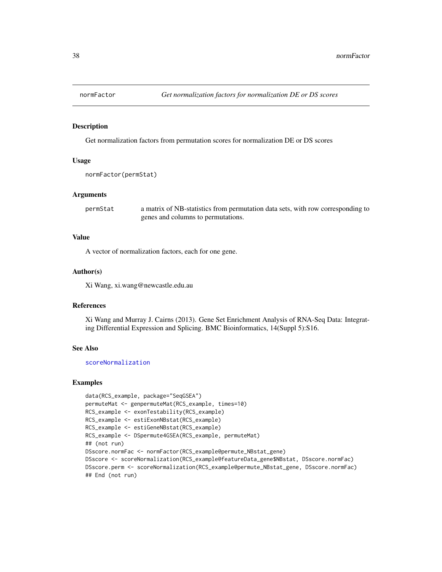<span id="page-37-1"></span><span id="page-37-0"></span>

Get normalization factors from permutation scores for normalization DE or DS scores

#### Usage

```
normFactor(permStat)
```
### Arguments

permStat a matrix of NB-statistics from permutation data sets, with row corresponding to genes and columns to permutations.

### Value

A vector of normalization factors, each for one gene.

#### Author(s)

Xi Wang, xi.wang@newcastle.edu.au

### References

Xi Wang and Murray J. Cairns (2013). Gene Set Enrichment Analysis of RNA-Seq Data: Integrating Differential Expression and Splicing. BMC Bioinformatics, 14(Suppl 5):S16.

#### See Also

[scoreNormalization](#page-47-1)

```
data(RCS_example, package="SeqGSEA")
permuteMat <- genpermuteMat(RCS_example, times=10)
RCS_example <- exonTestability(RCS_example)
RCS_example <- estiExonNBstat(RCS_example)
RCS_example <- estiGeneNBstat(RCS_example)
RCS_example <- DSpermute4GSEA(RCS_example, permuteMat)
## (not run)
DSscore.normFac <- normFactor(RCS_example@permute_NBstat_gene)
DSscore <- scoreNormalization(RCS_example@featureData_gene$NBstat, DSscore.normFac)
DSscore.perm <- scoreNormalization(RCS_example@permute_NBstat_gene, DSscore.normFac)
## End (not run)
```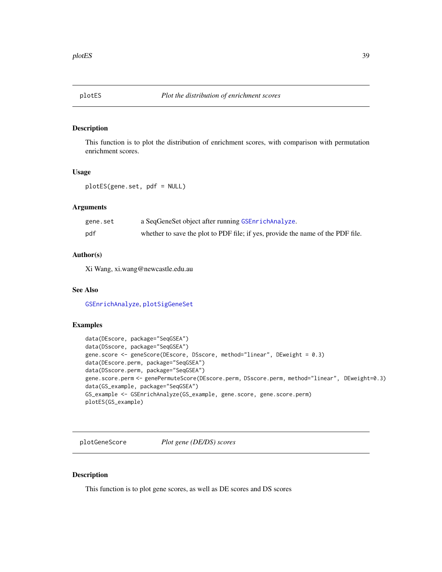<span id="page-38-1"></span><span id="page-38-0"></span>This function is to plot the distribution of enrichment scores, with comparison with permutation enrichment scores.

### Usage

```
plotES(gene.set, pdf = NULL)
```
### Arguments

| gene.set | a SeqGeneSet object after running GSEnrichAnalyze.                              |
|----------|---------------------------------------------------------------------------------|
| pdf      | whether to save the plot to PDF file; if yes, provide the name of the PDF file. |

### Author(s)

Xi Wang, xi.wang@newcastle.edu.au

### See Also

[GSEnrichAnalyze](#page-30-1), [plotSigGeneSet](#page-40-1)

### Examples

```
data(DEscore, package="SeqGSEA")
data(DSscore, package="SeqGSEA")
gene.score <- geneScore(DEscore, DSscore, method="linear", DEweight = 0.3)
data(DEscore.perm, package="SeqGSEA")
data(DSscore.perm, package="SeqGSEA")
gene.score.perm <- genePermuteScore(DEscore.perm, DSscore.perm, method="linear", DEweight=0.3)
data(GS_example, package="SeqGSEA")
GS_example <- GSEnrichAnalyze(GS_example, gene.score, gene.score.perm)
plotES(GS_example)
```
<span id="page-38-2"></span>plotGeneScore *Plot gene (DE/DS) scores*

#### Description

This function is to plot gene scores, as well as DE scores and DS scores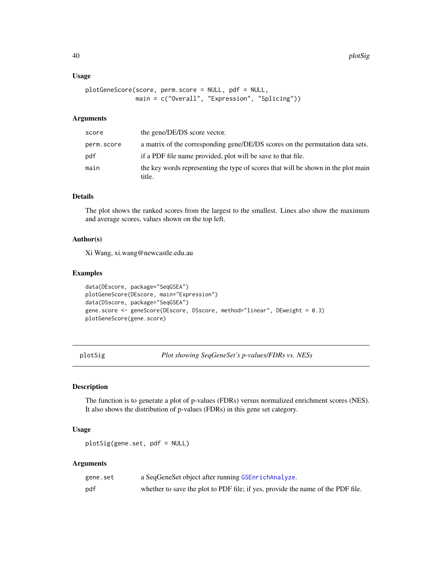#### <span id="page-39-0"></span>Usage

```
plotGeneScore(score, perm.score = NULL, pdf = NULL,
              main = c("Overall", "Expression", "Splicing"))
```
### Arguments

| score      | the gene/DE/DS score vector.                                                                |
|------------|---------------------------------------------------------------------------------------------|
| perm.score | a matrix of the corresponding gene/DE/DS scores on the permutation data sets.               |
| pdf        | if a PDF file name provided, plot will be save to that file.                                |
| main       | the key words representing the type of scores that will be shown in the plot main<br>title. |

#### Details

The plot shows the ranked scores from the largest to the smallest. Lines also show the maximum and average scores, values shown on the top left.

### Author(s)

Xi Wang, xi.wang@newcastle.edu.au

### Examples

```
data(DEscore, package="SeqGSEA")
plotGeneScore(DEscore, main="Expression")
data(DSscore, package="SeqGSEA")
gene.score <- geneScore(DEscore, DSscore, method="linear", DEweight = 0.3)
plotGeneScore(gene.score)
```
<span id="page-39-1"></span>plotSig *Plot showing SeqGeneSet's p-values/FDRs vs. NESs*

### Description

The function is to generate a plot of p-values (FDRs) versus normalized enrichment scores (NES). It also shows the distribution of p-values (FDRs) in this gene set category.

### Usage

plotSig(gene.set, pdf = NULL)

#### Arguments

| gene.set | a SeqGeneSet object after running GSEnrichAnalyze.                              |
|----------|---------------------------------------------------------------------------------|
| pdf      | whether to save the plot to PDF file; if yes, provide the name of the PDF file. |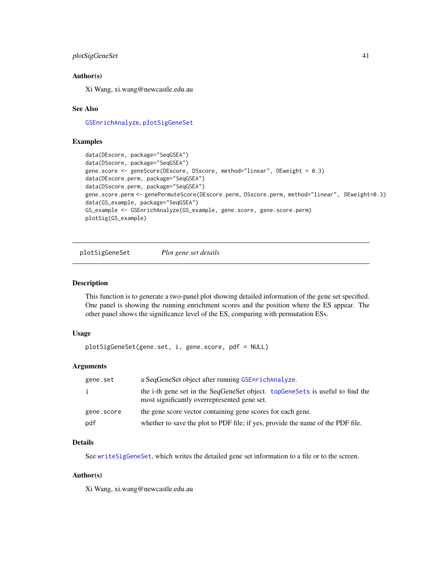### <span id="page-40-0"></span>plotSigGeneSet 41

#### Author(s)

Xi Wang, xi.wang@newcastle.edu.au

#### See Also

[GSEnrichAnalyze](#page-30-1), [plotSigGeneSet](#page-40-1)

#### Examples

```
data(DEscore, package="SeqGSEA")
data(DSscore, package="SeqGSEA")
gene.score <- geneScore(DEscore, DSscore, method="linear", DEweight = 0.3)
data(DEscore.perm, package="SeqGSEA")
data(DSscore.perm, package="SeqGSEA")
gene.score.perm <- genePermuteScore(DEscore.perm, DSscore.perm, method="linear", DEweight=0.3)
data(GS_example, package="SeqGSEA")
GS_example <- GSEnrichAnalyze(GS_example, gene.score, gene.score.perm)
plotSig(GS_example)
```
<span id="page-40-1"></span>plotSigGeneSet *Plot gene set details*

#### Description

This function is to generate a two-panel plot showing detailed information of the gene set specified. One panel is showing the running enrichment scores and the position where the ES appear. The other panel shows the significance level of the ES, comparing with permutation ESs.

#### Usage

plotSigGeneSet(gene.set, i, gene.score, pdf = NULL)

#### **Arguments**

| gene.set   | a SeqGeneSet object after running GSEnrichAnalyze.                                                                            |  |
|------------|-------------------------------------------------------------------------------------------------------------------------------|--|
| i          | the i-th gene set in the SeqGeneSet object. topGeneSets is useful to find the<br>most significantly overrepresented gene set. |  |
| gene.score | the gene score vector containing gene scores for each gene.                                                                   |  |
| pdf        | whether to save the plot to PDF file; if yes, provide the name of the PDF file.                                               |  |

#### Details

See [writeSigGeneSet](#page-57-1), which writes the detailed gene set information to a file or to the screen.

#### Author(s)

Xi Wang, xi.wang@newcastle.edu.au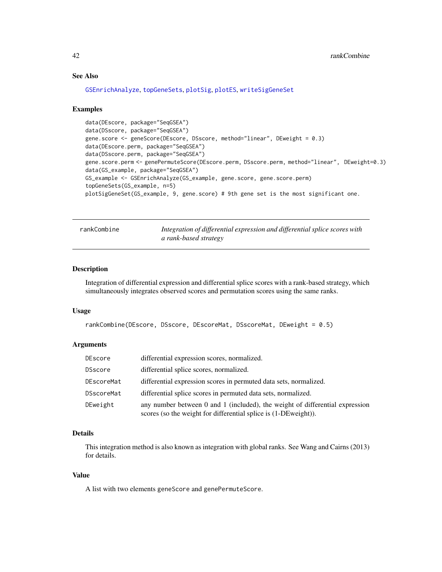### See Also

```
GSEnrichAnalyze, topGeneSets, plotSig, plotES, writeSigGeneSet
```
#### Examples

```
data(DEscore, package="SeqGSEA")
data(DSscore, package="SeqGSEA")
gene.score <- geneScore(DEscore, DSscore, method="linear", DEweight = 0.3)
data(DEscore.perm, package="SeqGSEA")
data(DSscore.perm, package="SeqGSEA")
gene.score.perm <- genePermuteScore(DEscore.perm, DSscore.perm, method="linear", DEweight=0.3)
data(GS_example, package="SeqGSEA")
GS_example <- GSEnrichAnalyze(GS_example, gene.score, gene.score.perm)
topGeneSets(GS_example, n=5)
plotSigGeneSet(GS_example, 9, gene.score) # 9th gene set is the most significant one.
```
<span id="page-41-1"></span>rankCombine *Integration of differential expression and differential splice scores with a rank-based strategy*

#### Description

Integration of differential expression and differential splice scores with a rank-based strategy, which simultaneously integrates observed scores and permutation scores using the same ranks.

#### Usage

```
rankCombine(DEscore, DSscore, DEscoreMat, DSscoreMat, DEweight = 0.5)
```
#### Arguments

| DEscore    | differential expression scores, normalized.                                                                                                     |
|------------|-------------------------------------------------------------------------------------------------------------------------------------------------|
| DSscore    | differential splice scores, normalized.                                                                                                         |
| DEscoreMat | differential expression scores in permuted data sets, normalized.                                                                               |
| DSscoreMat | differential splice scores in permuted data sets, normalized.                                                                                   |
| DEweight   | any number between 0 and 1 (included), the weight of differential expression<br>scores (so the weight for differential splice is (1-DEweight)). |

### Details

This integration method is also known as integration with global ranks. See Wang and Cairns (2013) for details.

#### Value

A list with two elements geneScore and genePermuteScore.

<span id="page-41-0"></span>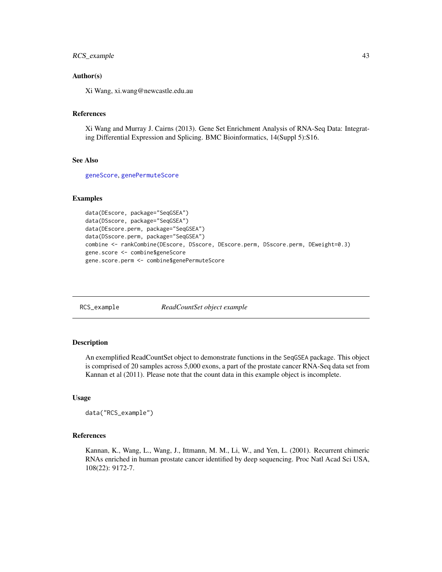### <span id="page-42-0"></span>RCS\_example 43

### Author(s)

Xi Wang, xi.wang@newcastle.edu.au

#### References

Xi Wang and Murray J. Cairns (2013). Gene Set Enrichment Analysis of RNA-Seq Data: Integrating Differential Expression and Splicing. BMC Bioinformatics, 14(Suppl 5):S16.

### See Also

[geneScore](#page-22-1), [genePermuteScore](#page-21-1)

### Examples

```
data(DEscore, package="SeqGSEA")
data(DSscore, package="SeqGSEA")
data(DEscore.perm, package="SeqGSEA")
data(DSscore.perm, package="SeqGSEA")
combine <- rankCombine(DEscore, DSscore, DEscore.perm, DSscore.perm, DEweight=0.3)
gene.score <- combine$geneScore
gene.score.perm <- combine$genePermuteScore
```
RCS\_example *ReadCountSet object example*

#### **Description**

An exemplified ReadCountSet object to demonstrate functions in the SeqGSEA package. This object is comprised of 20 samples across 5,000 exons, a part of the prostate cancer RNA-Seq data set from Kannan et al (2011). Please note that the count data in this example object is incomplete.

#### Usage

```
data("RCS_example")
```
#### References

Kannan, K., Wang, L., Wang, J., Ittmann, M. M., Li, W., and Yen, L. (2001). Recurrent chimeric RNAs enriched in human prostate cancer identified by deep sequencing. Proc Natl Acad Sci USA, 108(22): 9172-7.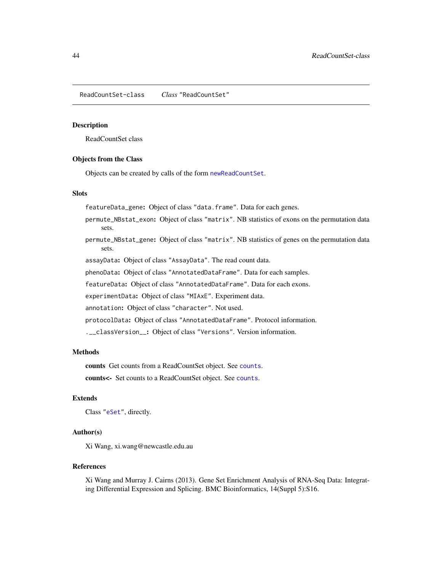<span id="page-43-1"></span><span id="page-43-0"></span>ReadCountSet-class *Class* "ReadCountSet"

#### <span id="page-43-2"></span>Description

ReadCountSet class

#### Objects from the Class

Objects can be created by calls of the form [newReadCountSet](#page-35-1).

#### **Slots**

featureData\_gene: Object of class "data.frame". Data for each genes.

- permute\_NBstat\_exon: Object of class "matrix". NB statistics of exons on the permutation data sets.
- permute\_NBstat\_gene: Object of class "matrix". NB statistics of genes on the permutation data sets.

assayData: Object of class "AssayData". The read count data.

phenoData: Object of class "AnnotatedDataFrame". Data for each samples.

featureData: Object of class "AnnotatedDataFrame". Data for each exons.

experimentData: Object of class "MIAxE". Experiment data.

annotation: Object of class "character". Not used.

protocolData: Object of class "AnnotatedDataFrame". Protocol information.

.\_\_classVersion\_\_: Object of class "Versions". Version information.

#### Methods

counts Get counts from a ReadCountSet object. See [counts](#page-7-3).

counts<- Set counts to a ReadCountSet object. See [counts](#page-7-3).

#### Extends

Class ["eSet"](#page-0-0), directly.

#### Author(s)

Xi Wang, xi.wang@newcastle.edu.au

#### References

Xi Wang and Murray J. Cairns (2013). Gene Set Enrichment Analysis of RNA-Seq Data: Integrating Differential Expression and Splicing. BMC Bioinformatics, 14(Suppl 5):S16.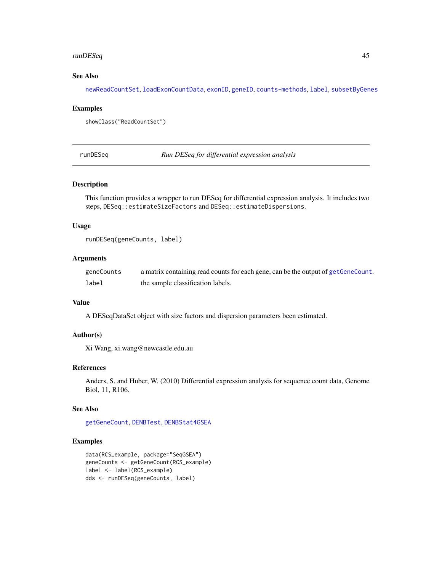### <span id="page-44-0"></span>runDESeq 45

### See Also

[newReadCountSet](#page-35-1), [loadExonCountData](#page-32-1), [exonID](#page-18-1), [geneID](#page-19-1), [counts-methods](#page-7-1), [label](#page-31-1), [subsetByGenes](#page-51-1)

#### Examples

```
showClass("ReadCountSet")
```
<span id="page-44-1"></span>runDESeq *Run DESeq for differential expression analysis*

#### Description

This function provides a wrapper to run DESeq for differential expression analysis. It includes two steps, DESeq::estimateSizeFactors and DESeq::estimateDispersions.

### Usage

runDESeq(geneCounts, label)

### Arguments

| geneCounts | a matrix containing read counts for each gene, can be the output of getGeneCount. |
|------------|-----------------------------------------------------------------------------------|
| label      | the sample classification labels.                                                 |

### Value

A DESeqDataSet object with size factors and dispersion parameters been estimated.

#### Author(s)

Xi Wang, xi.wang@newcastle.edu.au

#### References

Anders, S. and Huber, W. (2010) Differential expression analysis for sequence count data, Genome Biol, 11, R106.

### See Also

[getGeneCount](#page-28-1), [DENBTest](#page-10-1), [DENBStat4GSEA](#page-8-1)

```
data(RCS_example, package="SeqGSEA")
geneCounts <- getGeneCount(RCS_example)
label <- label(RCS_example)
dds <- runDESeq(geneCounts, label)
```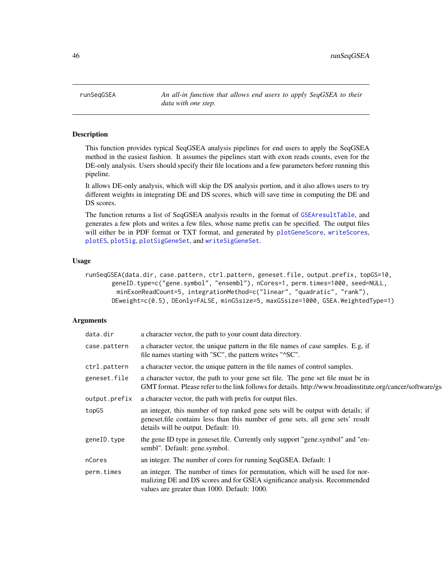<span id="page-45-0"></span>46 runSeqGSEA

runSeqGSEA *An all-in function that allows end users to apply SeqGSEA to their data with one step.*

### Description

This function provides typical SeqGSEA analysis pipelines for end users to apply the SeqGSEA method in the easiest fashion. It assumes the pipelines start with exon reads counts, even for the DE-only analysis. Users should specify their file locations and a few parameters before running this pipeline.

It allows DE-only analysis, which will skip the DS analysis portion, and it also allows users to try different weights in integrating DE and DS scores, which will save time in computing the DE and DS scores.

The function returns a list of SeqGSEA analysis results in the format of [GSEAresultTable](#page-29-1), and generates a few plots and writes a few files, whose name prefix can be specified. The output files will either be in PDF format or TXT format, and generated by [plotGeneScore](#page-38-2), [writeScores](#page-56-1), [plotES](#page-38-1), [plotSig](#page-39-1), [plotSigGeneSet](#page-40-1), and [writeSigGeneSet](#page-57-1).

#### Usage

runSeqGSEA(data.dir, case.pattern, ctrl.pattern, geneset.file, output.prefix, topGS=10, geneID.type=c("gene.symbol", "ensembl"), nCores=1, perm.times=1000, seed=NULL, minExonReadCount=5, integrationMethod=c("linear", "quadratic", "rank"), DEweight=c(0.5), DEonly=FALSE, minGSsize=5, maxGSsize=1000, GSEA.WeightedType=1)

#### Arguments

| data.dir      | a character vector, the path to your count data directory.                                                                                                                                                  |
|---------------|-------------------------------------------------------------------------------------------------------------------------------------------------------------------------------------------------------------|
| case.pattern  | a character vector, the unique pattern in the file names of case samples. E.g, if<br>file names starting with "SC", the pattern writes "^SC".                                                               |
| ctrl.pattern  | a character vector, the unique pattern in the file names of control samples.                                                                                                                                |
| geneset.file  | a character vector, the path to your gene set file. The gene set file must be in<br>GMT format. Please refer to the link follows for details. http://www.broadinstitute.org/cancer/software/gs              |
| output.prefix | a character vector, the path with prefix for output files.                                                                                                                                                  |
| topGS         | an integer, this number of top ranked gene sets will be output with details; if<br>geneset. file contains less than this number of gene sets, all gene sets' result<br>details will be output. Default: 10. |
| geneID.type   | the gene ID type in geneset.file. Currently only support "gene.symbol" and "en-<br>sembl". Default: gene.symbol.                                                                                            |
| nCores        | an integer. The number of cores for running SeqGSEA. Default: 1                                                                                                                                             |
| perm.times    | an integer. The number of times for permutation, which will be used for nor-<br>malizing DE and DS scores and for GSEA significance analysis. Recommended<br>values are greater than 1000. Default: 1000.   |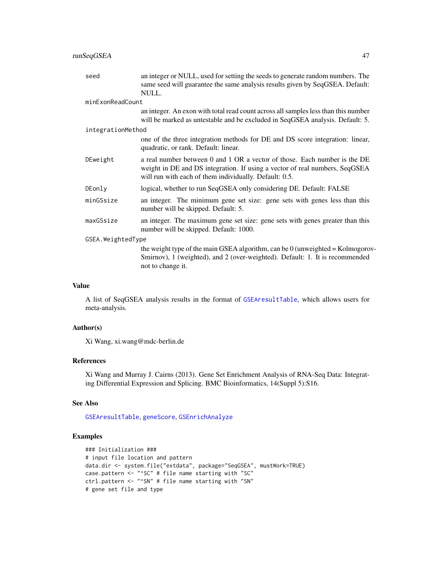<span id="page-46-0"></span>

| seed              | an integer or NULL, used for setting the seeds to generate random numbers. The<br>same seed will guarantee the same analysis results given by SeqGSEA. Default:<br>NULL.                                           |  |
|-------------------|--------------------------------------------------------------------------------------------------------------------------------------------------------------------------------------------------------------------|--|
| minExonReadCount  |                                                                                                                                                                                                                    |  |
|                   | an integer. An exon with total read count across all samples less than this number<br>will be marked as untestable and be excluded in SeqGSEA analysis. Default: 5.                                                |  |
| integrationMethod |                                                                                                                                                                                                                    |  |
|                   | one of the three integration methods for DE and DS score integration: linear,<br>quadratic, or rank. Default: linear.                                                                                              |  |
| DEweight          | a real number between 0 and 1 OR a vector of those. Each number is the DE<br>weight in DE and DS integration. If using a vector of real numbers, SeqGSEA<br>will run with each of them individually. Default: 0.5. |  |
| DEonly            | logical, whether to run SeqGSEA only considering DE. Default: FALSE                                                                                                                                                |  |
| minGSsize         | an integer. The minimum gene set size: gene sets with genes less than this<br>number will be skipped. Default: 5.                                                                                                  |  |
| maxGSsize         | an integer. The maximum gene set size: gene sets with genes greater than this<br>number will be skipped. Default: 1000.                                                                                            |  |
| GSEA.WeightedType |                                                                                                                                                                                                                    |  |
|                   | the weight type of the main GSEA algorithm, can be $0$ (unweighted = Kolmogorov-<br>Smirnov), 1 (weighted), and 2 (over-weighted). Default: 1. It is recommended<br>not to change it.                              |  |

### Value

A list of SeqGSEA analysis results in the format of [GSEAresultTable](#page-29-1), which allows users for meta-analysis.

#### Author(s)

Xi Wang, xi.wang@mdc-berlin.de

### References

Xi Wang and Murray J. Cairns (2013). Gene Set Enrichment Analysis of RNA-Seq Data: Integrating Differential Expression and Splicing. BMC Bioinformatics, 14(Suppl 5):S16.

### See Also

[GSEAresultTable](#page-29-1), [geneScore](#page-22-1), [GSEnrichAnalyze](#page-30-1)

```
### Initialization ###
# input file location and pattern
data.dir <- system.file("extdata", package="SeqGSEA", mustWork=TRUE)
case.pattern <- "^SC" # file name starting with "SC"
ctrl.pattern <- "^SN" # file name starting with "SN"
# gene set file and type
```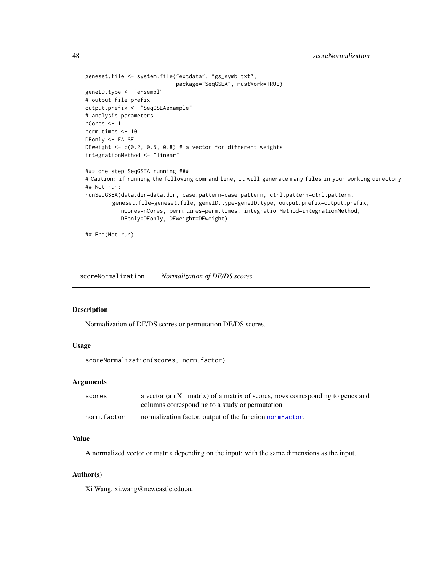<span id="page-47-0"></span>48 scoreNormalization

```
geneset.file <- system.file("extdata", "gs_symb.txt",
                            package="SeqGSEA", mustWork=TRUE)
geneID.type <- "ensembl"
# output file prefix
output.prefix <- "SeqGSEAexample"
# analysis parameters
nCores <- 1
perm.times <- 10
DEonly <- FALSE
DEweight \leq c(0.2, 0.5, 0.8) # a vector for different weights
integrationMethod <- "linear"
### one step SeqGSEA running ###
# Caution: if running the following command line, it will generate many files in your working directory
## Not run:
runSeqGSEA(data.dir=data.dir, case.pattern=case.pattern, ctrl.pattern=ctrl.pattern,
        geneset.file=geneset.file, geneID.type=geneID.type, output.prefix=output.prefix,
           nCores=nCores, perm.times=perm.times, integrationMethod=integrationMethod,
           DEonly=DEonly, DEweight=DEweight)
## End(Not run)
```
<span id="page-47-1"></span>scoreNormalization *Normalization of DE/DS scores*

### Description

Normalization of DE/DS scores or permutation DE/DS scores.

#### Usage

scoreNormalization(scores, norm.factor)

### Arguments

| scores      | a vector (a nX1 matrix) of a matrix of scores, rows corresponding to genes and<br>columns corresponding to a study or permutation. |
|-------------|------------------------------------------------------------------------------------------------------------------------------------|
| norm.factor | normalization factor, output of the function normeractor.                                                                          |

#### Value

A normalized vector or matrix depending on the input: with the same dimensions as the input.

#### Author(s)

Xi Wang, xi.wang@newcastle.edu.au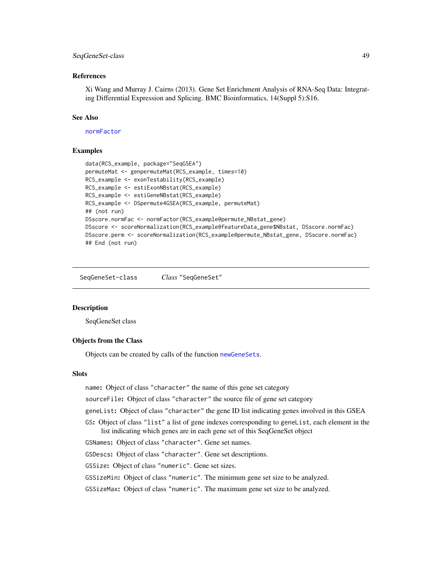### <span id="page-48-0"></span>SeqGeneSet-class 49

#### References

Xi Wang and Murray J. Cairns (2013). Gene Set Enrichment Analysis of RNA-Seq Data: Integrating Differential Expression and Splicing. BMC Bioinformatics, 14(Suppl 5):S16.

### See Also

[normFactor](#page-37-1)

#### Examples

```
data(RCS_example, package="SeqGSEA")
permuteMat <- genpermuteMat(RCS_example, times=10)
RCS_example <- exonTestability(RCS_example)
RCS_example <- estiExonNBstat(RCS_example)
RCS_example <- estiGeneNBstat(RCS_example)
RCS_example <- DSpermute4GSEA(RCS_example, permuteMat)
## (not run)
DSscore.normFac <- normFactor(RCS_example@permute_NBstat_gene)
DSscore <- scoreNormalization(RCS_example@featureData_gene$NBstat, DSscore.normFac)
DSscore.perm <- scoreNormalization(RCS_example@permute_NBstat_gene, DSscore.normFac)
## End (not run)
```
<span id="page-48-1"></span>SeqGeneSet-class *Class* "SeqGeneSet"

#### **Description**

SeqGeneSet class

#### Objects from the Class

Objects can be created by calls of the function [newGeneSets](#page-34-1).

### **Slots**

name: Object of class "character" the name of this gene set category

sourceFile: Object of class "character" the source file of gene set category

geneList: Object of class "character" the gene ID list indicating genes involved in this GSEA

GS: Object of class "list" a list of gene indexes corresponding to geneList, each element in the list indicating which genes are in each gene set of this SeqGeneSet object

GSNames: Object of class "character". Gene set names.

GSDescs: Object of class "character". Gene set descriptions.

GSSize: Object of class "numeric". Gene set sizes.

GSSizeMin: Object of class "numeric". The minimum gene set size to be analyzed.

GSSizeMax: Object of class "numeric". The maximum gene set size to be analyzed.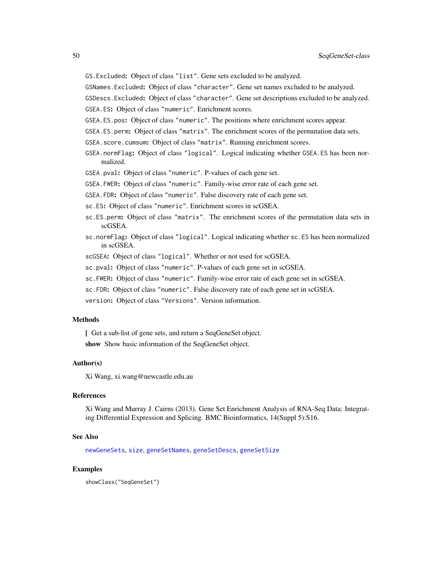<span id="page-49-0"></span>GS.Excluded: Object of class "list". Gene sets excluded to be analyzed.

GSNames.Excluded: Object of class "character". Gene set names excluded to be analyzed.

GSDescs.Excluded: Object of class "character". Gene set descriptions excluded to be analyzed.

GSEA.ES: Object of class "numeric". Enrichment scores.

GSEA.ES.pos: Object of class "numeric". The positions where enrichment scores appear.

- GSEA.ES.perm: Object of class "matrix". The enrichment scores of the permutation data sets.
- GSEA.score.cumsum: Object of class "matrix". Running enrichment scores.
- GSEA.normFlag: Object of class "logical". Logical indicating whether GSEA.ES has been normalized.
- GSEA.pval: Object of class "numeric". P-values of each gene set.
- GSEA.FWER: Object of class "numeric". Family-wise error rate of each gene set.
- GSEA.FDR: Object of class "numeric". False discovery rate of each gene set.
- sc.ES: Object of class "numeric". Enrichment scores in scGSEA.
- sc.ES.perm: Object of class "matrix". The enrichment scores of the permutation data sets in scGSEA.
- sc.normFlag: Object of class "logical". Logical indicating whether sc.ES has been normalized in scGSEA.
- scGSEA: Object of class "logical". Whether or not used for scGSEA.
- sc.pval: Object of class "numeric". P-values of each gene set in scGSEA.
- sc.FWER: Object of class "numeric". Family-wise error rate of each gene set in scGSEA.
- sc.FDR: Object of class "numeric". False discovery rate of each gene set in scGSEA.
- version: Object of class "Versions". Version information.

#### Methods

[ Get a sub-list of gene sets, and return a SeqGeneSet object.

show Show basic information of the SeqGeneSet object.

#### Author(s)

Xi Wang, xi.wang@newcastle.edu.au

#### References

Xi Wang and Murray J. Cairns (2013). Gene Set Enrichment Analysis of RNA-Seq Data: Integrating Differential Expression and Splicing. BMC Bioinformatics, 14(Suppl 5):S16.

#### See Also

[newGeneSets](#page-34-1), [size](#page-50-1), [geneSetNames](#page-24-1), [geneSetDescs](#page-23-1), [geneSetSize](#page-25-1)

#### Examples

showClass("SeqGeneSet")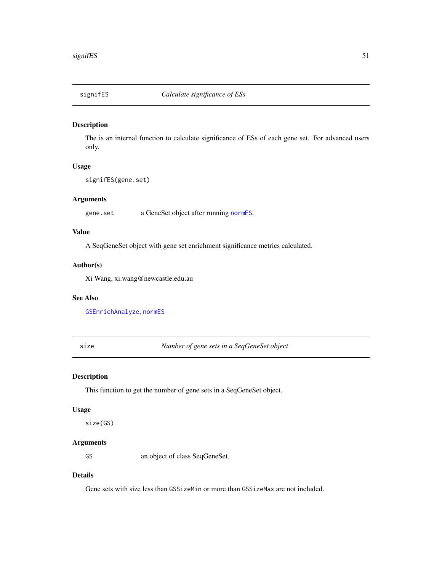<span id="page-50-2"></span><span id="page-50-0"></span>

The is an internal function to calculate significance of ESs of each gene set. For advanced users only.

### Usage

signifES(gene.set)

### Arguments

gene.set a GeneSet object after running [normES](#page-36-1).

### Value

A SeqGeneSet object with gene set enrichment significance metrics calculated.

#### Author(s)

Xi Wang, xi.wang@newcastle.edu.au

### See Also

[GSEnrichAnalyze](#page-30-1), [normES](#page-36-1)

<span id="page-50-1"></span>size *Number of gene sets in a SeqGeneSet object*

### Description

This function to get the number of gene sets in a SeqGeneSet object.

#### Usage

size(GS)

### Arguments

GS an object of class SeqGeneSet.

### Details

Gene sets with size less than GSSizeMin or more than GSSizeMax are not included.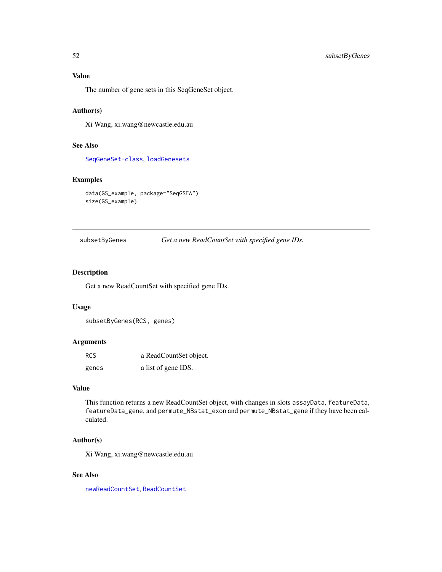<span id="page-51-0"></span>The number of gene sets in this SeqGeneSet object.

#### Author(s)

Xi Wang, xi.wang@newcastle.edu.au

#### See Also

[SeqGeneSet-class](#page-48-1), [loadGenesets](#page-33-1)

### Examples

```
data(GS_example, package="SeqGSEA")
size(GS_example)
```
<span id="page-51-1"></span>subsetByGenes *Get a new ReadCountSet with specified gene IDs.*

#### Description

Get a new ReadCountSet with specified gene IDs.

#### Usage

```
subsetByGenes(RCS, genes)
```
### Arguments

| <b>RCS</b> | a ReadCountSet object. |
|------------|------------------------|
| genes      | a list of gene IDS.    |

### Value

This function returns a new ReadCountSet object, with changes in slots assayData, featureData, featureData\_gene, and permute\_NBstat\_exon and permute\_NBstat\_gene if they have been calculated.

### Author(s)

Xi Wang, xi.wang@newcastle.edu.au

### See Also

[newReadCountSet](#page-35-1), [ReadCountSet](#page-43-2)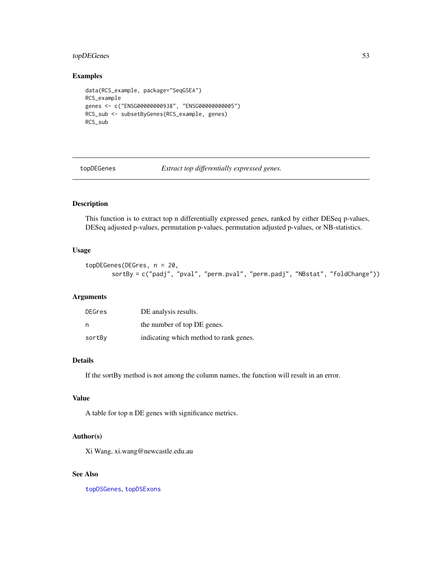### <span id="page-52-0"></span>topDEGenes 53

### Examples

```
data(RCS_example, package="SeqGSEA")
RCS_example
genes <- c("ENSG00000000938", "ENSG00000000005")
RCS_sub <- subsetByGenes(RCS_example, genes)
RCS_sub
```
<span id="page-52-1"></span>topDEGenes *Extract top differentially expressed genes.*

### Description

This function is to extract top n differentially expressed genes, ranked by either DESeq p-values, DESeq adjusted p-values, permutation p-values, permutation adjusted p-values, or NB-statistics.

### Usage

```
topDEGenes(DEGres, n = 20,
       sortBy = c("padj", "pval", "perm.pval", "perm.padj", "NBstat", "foldChange"))
```
#### **Arguments**

| DEGres | DE analysis results.                   |
|--------|----------------------------------------|
| n      | the number of top DE genes.            |
| sortBy | indicating which method to rank genes. |

#### Details

If the sortBy method is not among the column names, the function will result in an error.

### Value

A table for top n DE genes with significance metrics.

#### Author(s)

Xi Wang, xi.wang@newcastle.edu.au

### See Also

[topDSGenes](#page-54-1), [topDSExons](#page-53-1)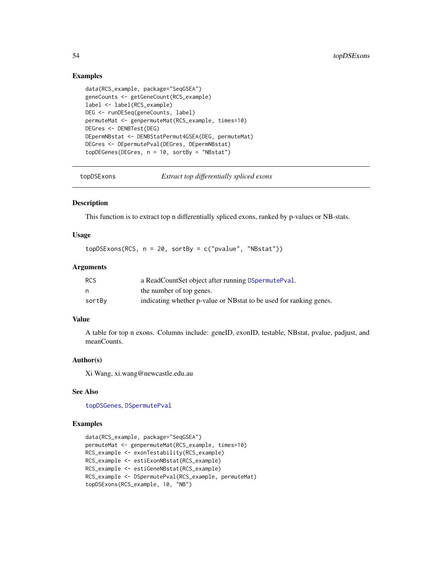### Examples

```
data(RCS_example, package="SeqGSEA")
geneCounts <- getGeneCount(RCS_example)
label <- label(RCS_example)
DEG <- runDESeq(geneCounts, label)
permuteMat <- genpermuteMat(RCS_example, times=10)
DEGres <- DENBTest(DEG)
DEpermNBstat <- DENBStatPermut4GSEA(DEG, permuteMat)
DEGres <- DEpermutePval(DEGres, DEpermNBstat)
topDEGenes(DEGres, n = 10, sortBy = "NBstat")
```
<span id="page-53-1"></span>topDSExons *Extract top differentially spliced exons*

### Description

This function is to extract top n differentially spliced exons, ranked by p-values or NB-stats.

### Usage

 $topDSExons(RCS, n = 20, sortBy = c("pvalue", "NBstat"))$ 

#### **Arguments**

| <b>RCS</b> | a ReadCountSet object after running DSpermutePval.                 |
|------------|--------------------------------------------------------------------|
| n          | the number of top genes.                                           |
| sortBy     | indicating whether p-value or NBstat to be used for ranking genes. |

### Value

A table for top n exons. Columns include: geneID, exonID, testable, NBstat, pvalue, padjust, and meanCounts.

#### Author(s)

Xi Wang, xi.wang@newcastle.edu.au

#### See Also

[topDSGenes](#page-54-1), [DSpermutePval](#page-13-1)

```
data(RCS_example, package="SeqGSEA")
permuteMat <- genpermuteMat(RCS_example, times=10)
RCS_example <- exonTestability(RCS_example)
RCS_example <- estiExonNBstat(RCS_example)
RCS_example <- estiGeneNBstat(RCS_example)
RCS_example <- DSpermutePval(RCS_example, permuteMat)
topDSExons(RCS_example, 10, "NB")
```
<span id="page-53-0"></span>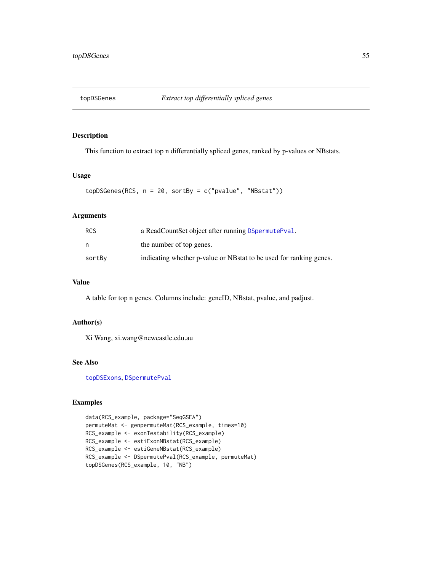<span id="page-54-1"></span><span id="page-54-0"></span>

This function to extract top n differentially spliced genes, ranked by p-values or NBstats.

### Usage

```
topDSGenes(RCS, n = 20, sortBy = c("pvalue", "NBstat"))
```
### Arguments

| <b>RCS</b> | a ReadCountSet object after running DSpermutePval.                 |
|------------|--------------------------------------------------------------------|
| n          | the number of top genes.                                           |
| sortBy     | indicating whether p-value or NBstat to be used for ranking genes. |

### Value

A table for top n genes. Columns include: geneID, NBstat, pvalue, and padjust.

### Author(s)

Xi Wang, xi.wang@newcastle.edu.au

### See Also

[topDSExons](#page-53-1), [DSpermutePval](#page-13-1)

```
data(RCS_example, package="SeqGSEA")
permuteMat <- genpermuteMat(RCS_example, times=10)
RCS_example <- exonTestability(RCS_example)
RCS_example <- estiExonNBstat(RCS_example)
RCS_example <- estiGeneNBstat(RCS_example)
RCS_example <- DSpermutePval(RCS_example, permuteMat)
topDSGenes(RCS_example, 10, "NB")
```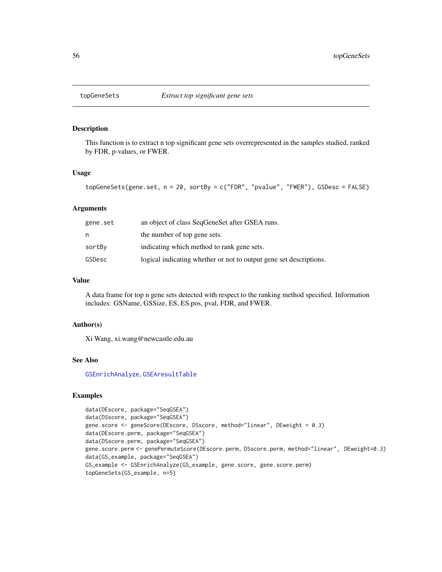<span id="page-55-1"></span><span id="page-55-0"></span>

This function is to extract n top significant gene sets overrepresented in the samples studied, ranked by FDR, p-values, or FWER.

#### Usage

```
topGeneSets(gene.set, n = 20, sortBy = c("FDR", "pvalue", "FWER"), GSDesc = FALSE)
```
#### Arguments

| gene.set | an object of class SeqGeneSet after GSEA runs.                     |
|----------|--------------------------------------------------------------------|
| n        | the number of top gene sets.                                       |
| sortBy   | indicating which method to rank gene sets.                         |
| GSDesc   | logical indicating whether or not to output gene set descriptions. |

#### Value

A data frame for top n gene sets detected with respect to the ranking method specified. Information includes: GSName, GSSize, ES, ES.pos, pval, FDR, and FWER.

#### Author(s)

Xi Wang, xi.wang@newcastle.edu.au

#### See Also

[GSEnrichAnalyze](#page-30-1), [GSEAresultTable](#page-29-1)

```
data(DEscore, package="SeqGSEA")
data(DSscore, package="SeqGSEA")
gene.score <- geneScore(DEscore, DSscore, method="linear", DEweight = 0.3)
data(DEscore.perm, package="SeqGSEA")
data(DSscore.perm, package="SeqGSEA")
gene.score.perm <- genePermuteScore(DEscore.perm, DSscore.perm, method="linear", DEweight=0.3)
data(GS_example, package="SeqGSEA")
GS_example <- GSEnrichAnalyze(GS_example, gene.score, gene.score.perm)
topGeneSets(GS_example, n=5)
```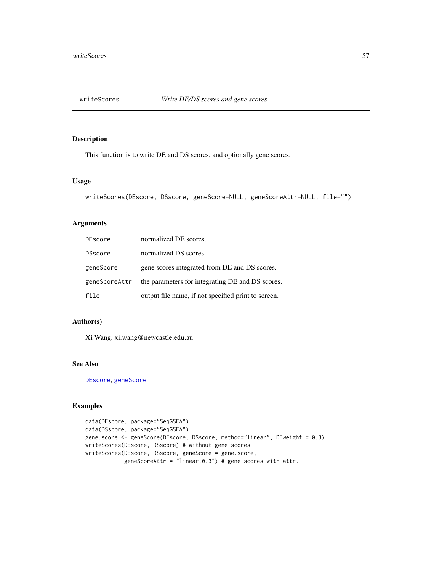<span id="page-56-1"></span><span id="page-56-0"></span>

This function is to write DE and DS scores, and optionally gene scores.

#### Usage

```
writeScores(DEscore, DSscore, geneScore=NULL, geneScoreAttr=NULL, file="")
```
### Arguments

| DEscore        | normalized DE scores.                               |
|----------------|-----------------------------------------------------|
| <b>DSscore</b> | normalized DS scores.                               |
| geneScore      | gene scores integrated from DE and DS scores.       |
| geneScoreAttr  | the parameters for integrating DE and DS scores.    |
| file           | output file name, if not specified print to screen. |

### Author(s)

Xi Wang, xi.wang@newcastle.edu.au

### See Also

[DEscore](#page-12-2), [geneScore](#page-22-1)

```
data(DEscore, package="SeqGSEA")
data(DSscore, package="SeqGSEA")
gene.score <- geneScore(DEscore, DSscore, method="linear", DEweight = 0.3)
writeScores(DEscore, DSscore) # without gene scores
writeScores(DEscore, DSscore, geneScore = gene.score,
            geneScoreAttr = "linear,0.3") # gene scores with attr.
```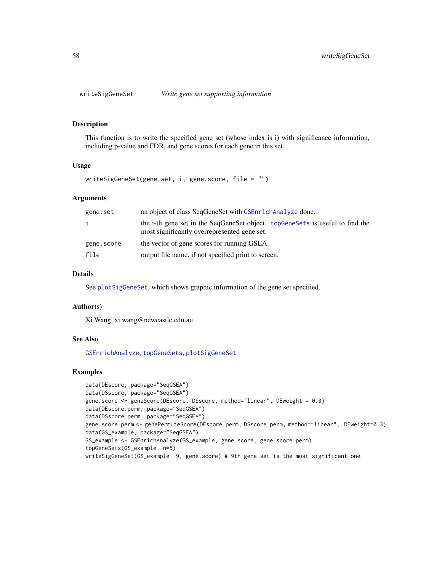<span id="page-57-1"></span><span id="page-57-0"></span>

This function is to write the specified gene set (whose index is i) with significance information, including p-value and FDR, and gene scores for each gene in this set.

#### Usage

writeSigGeneSet(gene.set, i, gene.score, file = "")

#### Arguments

| gene.set   | an object of class SeqGeneSet with GSEnrichAnalyze done.                                                                      |
|------------|-------------------------------------------------------------------------------------------------------------------------------|
| i.         | the i-th gene set in the SeqGeneSet object. topGeneSets is useful to find the<br>most significantly overrepresented gene set. |
| gene.score | the vector of gene scores for running GSEA.                                                                                   |
| file       | output file name, if not specified print to screen.                                                                           |

### Details

See [plotSigGeneSet](#page-40-1), which shows graphic information of the gene set specified.

#### Author(s)

Xi Wang, xi.wang@newcastle.edu.au

#### See Also

[GSEnrichAnalyze](#page-30-1), [topGeneSets](#page-55-1), [plotSigGeneSet](#page-40-1)

```
data(DEscore, package="SeqGSEA")
data(DSscore, package="SeqGSEA")
gene.score <- geneScore(DEscore, DSscore, method="linear", DEweight = 0.3)
data(DEscore.perm, package="SeqGSEA")
data(DSscore.perm, package="SeqGSEA")
gene.score.perm <- genePermuteScore(DEscore.perm, DSscore.perm, method="linear", DEweight=0.3)
data(GS_example, package="SeqGSEA")
GS_example <- GSEnrichAnalyze(GS_example, gene.score, gene.score.perm)
topGeneSets(GS_example, n=5)
writeSigGeneSet(GS_example, 9, gene.score) # 9th gene set is the most significant one.
```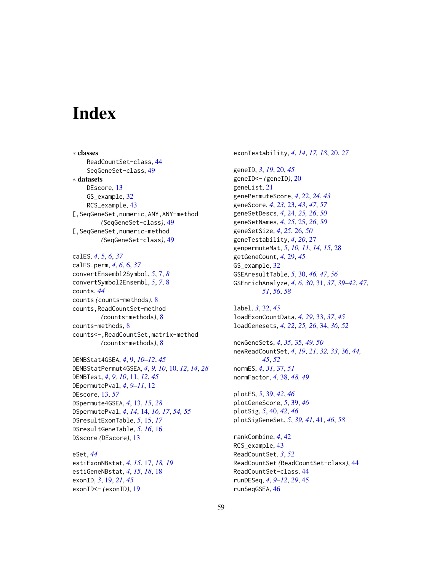# <span id="page-58-0"></span>**Index**

∗ classes ReadCountSet-class, [44](#page-43-0) SeqGeneSet-class, [49](#page-48-0) ∗ datasets DEscore, [13](#page-12-0) GS\_example, [32](#page-31-0) RCS\_example, [43](#page-42-0) [,SeqGeneSet,numeric,ANY,ANY-method *(*SeqGeneSet-class*)*, [49](#page-48-0) [,SeqGeneSet,numeric-method *(*SeqGeneSet-class*)*, [49](#page-48-0)

calES, *[4](#page-3-0)*, [5,](#page-4-0) *[6](#page-5-0)*, *[37](#page-36-0)* calES.perm, *[4](#page-3-0)*, *[6](#page-5-0)*, [6,](#page-5-0) *[37](#page-36-0)* convertEnsembl2Symbol, *[5](#page-4-0)*, [7,](#page-6-0) *[8](#page-7-0)* convertSymbol2Ensembl, *[5](#page-4-0)*, *[7](#page-6-0)*, [8](#page-7-0) counts, *[44](#page-43-0)* counts *(*counts-methods*)*, [8](#page-7-0) counts,ReadCountSet-method *(*counts-methods*)*, [8](#page-7-0) counts-methods, [8](#page-7-0) counts<-,ReadCountSet,matrix-method *(*counts-methods*)*, [8](#page-7-0)

DENBStat4GSEA, *[4](#page-3-0)*, [9,](#page-8-0) *[10–](#page-9-0)[12](#page-11-0)*, *[45](#page-44-0)* DENBStatPermut4GSEA, *[4](#page-3-0)*, *[9,](#page-8-0) [10](#page-9-0)*, [10,](#page-9-0) *[12](#page-11-0)*, *[14](#page-13-0)*, *[28](#page-27-0)* DENBTest, *[4](#page-3-0)*, *[9,](#page-8-0) [10](#page-9-0)*, [11,](#page-10-0) *[12](#page-11-0)*, *[45](#page-44-0)* DEpermutePval, *[4](#page-3-0)*, *[9](#page-8-0)[–11](#page-10-0)*, [12](#page-11-0) DEscore, [13,](#page-12-0) *[57](#page-56-0)* DSpermute4GSEA, *[4](#page-3-0)*, [13,](#page-12-0) *[15](#page-14-0)*, *[28](#page-27-0)* DSpermutePval, *[4](#page-3-0)*, *[14](#page-13-0)*, [14,](#page-13-0) *[16,](#page-15-0) [17](#page-16-0)*, *[54,](#page-53-0) [55](#page-54-0)* DSresultExonTable, *[5](#page-4-0)*, [15,](#page-14-0) *[17](#page-16-0)* DSresultGeneTable, *[5](#page-4-0)*, *[16](#page-15-0)*, [16](#page-15-0) DSscore *(*DEscore*)*, [13](#page-12-0)

eSet, *[44](#page-43-0)* estiExonNBstat, *[4](#page-3-0)*, *[15](#page-14-0)*, [17,](#page-16-0) *[18,](#page-17-0) [19](#page-18-0)* estiGeneNBstat, *[4](#page-3-0)*, *[15](#page-14-0)*, *[18](#page-17-0)*, [18](#page-17-0) exonID, *[3](#page-2-0)*, [19,](#page-18-0) *[21](#page-20-0)*, *[45](#page-44-0)* exonID<- *(*exonID*)*, [19](#page-18-0)

exonTestability, *[4](#page-3-0)*, *[14](#page-13-0)*, *[17,](#page-16-0) [18](#page-17-0)*, [20,](#page-19-0) *[27](#page-26-0)*

geneID, *[3](#page-2-0)*, *[19](#page-18-0)*, [20,](#page-19-0) *[45](#page-44-0)* geneID<- *(*geneID*)*, [20](#page-19-0) geneList, [21](#page-20-0) genePermuteScore, *[4](#page-3-0)*, [22,](#page-21-0) *[24](#page-23-0)*, *[43](#page-42-0)* geneScore, *[4](#page-3-0)*, *[23](#page-22-0)*, [23,](#page-22-0) *[43](#page-42-0)*, *[47](#page-46-0)*, *[57](#page-56-0)* geneSetDescs, *[4](#page-3-0)*, [24,](#page-23-0) *[25,](#page-24-0) [26](#page-25-0)*, *[50](#page-49-0)* geneSetNames, *[4](#page-3-0)*, *[25](#page-24-0)*, [25,](#page-24-0) *[26](#page-25-0)*, *[50](#page-49-0)* geneSetSize, *[4](#page-3-0)*, *[25](#page-24-0)*, [26,](#page-25-0) *[50](#page-49-0)* geneTestability, *[4](#page-3-0)*, *[20](#page-19-0)*, [27](#page-26-0) genpermuteMat, *[5](#page-4-0)*, *[10,](#page-9-0) [11](#page-10-0)*, *[14,](#page-13-0) [15](#page-14-0)*, [28](#page-27-0) getGeneCount, *[4](#page-3-0)*, [29,](#page-28-0) *[45](#page-44-0)* GS\_example, [32](#page-31-0) GSEAresultTable, *[5](#page-4-0)*, [30,](#page-29-0) *[46,](#page-45-0) [47](#page-46-0)*, *[56](#page-55-0)* GSEnrichAnalyze, *[4](#page-3-0)*, *[6](#page-5-0)*, *[30](#page-29-0)*, [31,](#page-30-0) *[37](#page-36-0)*, *[39](#page-38-0)[–42](#page-41-0)*, *[47](#page-46-0)*, *[51](#page-50-0)*, *[56](#page-55-0)*, *[58](#page-57-0)*

label, *[3](#page-2-0)*, [32,](#page-31-0) *[45](#page-44-0)* loadExonCountData, *[4](#page-3-0)*, *[29](#page-28-0)*, [33,](#page-32-0) *[37](#page-36-0)*, *[45](#page-44-0)* loadGenesets, *[4](#page-3-0)*, *[22](#page-21-0)*, *[25,](#page-24-0) [26](#page-25-0)*, [34,](#page-33-0) *[36](#page-35-0)*, *[52](#page-51-0)*

newGeneSets, *[4](#page-3-0)*, *[35](#page-34-0)*, [35,](#page-34-0) *[49,](#page-48-0) [50](#page-49-0)* newReadCountSet, *[4](#page-3-0)*, *[19](#page-18-0)*, *[21](#page-20-0)*, *[32,](#page-31-0) [33](#page-32-0)*, [36,](#page-35-0) *[44,](#page-43-0) [45](#page-44-0)*, *[52](#page-51-0)* normES, *[4](#page-3-0)*, *[31](#page-30-0)*, [37,](#page-36-0) *[51](#page-50-0)* normFactor, *[4](#page-3-0)*, [38,](#page-37-0) *[48,](#page-47-0) [49](#page-48-0)*

plotES, *[5](#page-4-0)*, [39,](#page-38-0) *[42](#page-41-0)*, *[46](#page-45-0)* plotGeneScore, *[5](#page-4-0)*, [39,](#page-38-0) *[46](#page-45-0)* plotSig, *[5](#page-4-0)*, [40,](#page-39-0) *[42](#page-41-0)*, *[46](#page-45-0)* plotSigGeneSet, *[5](#page-4-0)*, *[39](#page-38-0)*, *[41](#page-40-0)*, [41,](#page-40-0) *[46](#page-45-0)*, *[58](#page-57-0)*

rankCombine, *[4](#page-3-0)*, [42](#page-41-0) RCS\_example, [43](#page-42-0) ReadCountSet, *[3](#page-2-0)*, *[52](#page-51-0)* ReadCountSet *(*ReadCountSet-class*)*, [44](#page-43-0) ReadCountSet-class, [44](#page-43-0) runDESeq, *[4](#page-3-0)*, *[9](#page-8-0)[–12](#page-11-0)*, *[29](#page-28-0)*, [45](#page-44-0) runSeqGSEA, [46](#page-45-0)